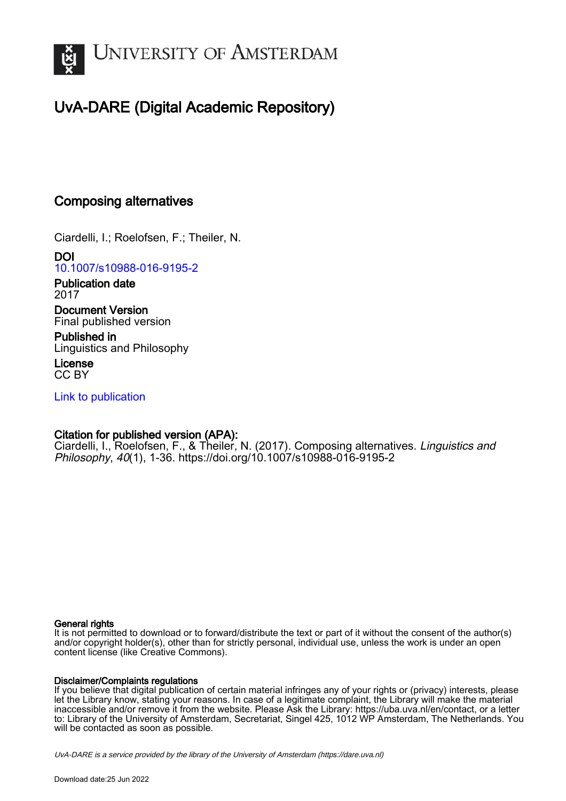

# UvA-DARE (Digital Academic Repository)

## Composing alternatives

Ciardelli, I.; Roelofsen, F.; Theiler, N.

DOI [10.1007/s10988-016-9195-2](https://doi.org/10.1007/s10988-016-9195-2)

Publication date 2017

Document Version Final published version

Published in Linguistics and Philosophy

License CC BY

[Link to publication](https://dare.uva.nl/personal/pure/en/publications/composing-alternatives(776124e4-ae74-4c77-a3ac-60de17b760c4).html)

## Citation for published version (APA):

Ciardelli, I., Roelofsen, F., & Theiler, N. (2017). Composing alternatives. Linguistics and Philosophy, 40(1), 1-36. <https://doi.org/10.1007/s10988-016-9195-2>

### General rights

It is not permitted to download or to forward/distribute the text or part of it without the consent of the author(s) and/or copyright holder(s), other than for strictly personal, individual use, unless the work is under an open content license (like Creative Commons).

### Disclaimer/Complaints regulations

If you believe that digital publication of certain material infringes any of your rights or (privacy) interests, please let the Library know, stating your reasons. In case of a legitimate complaint, the Library will make the material inaccessible and/or remove it from the website. Please Ask the Library: https://uba.uva.nl/en/contact, or a letter to: Library of the University of Amsterdam, Secretariat, Singel 425, 1012 WP Amsterdam, The Netherlands. You will be contacted as soon as possible.

UvA-DARE is a service provided by the library of the University of Amsterdam (http*s*://dare.uva.nl)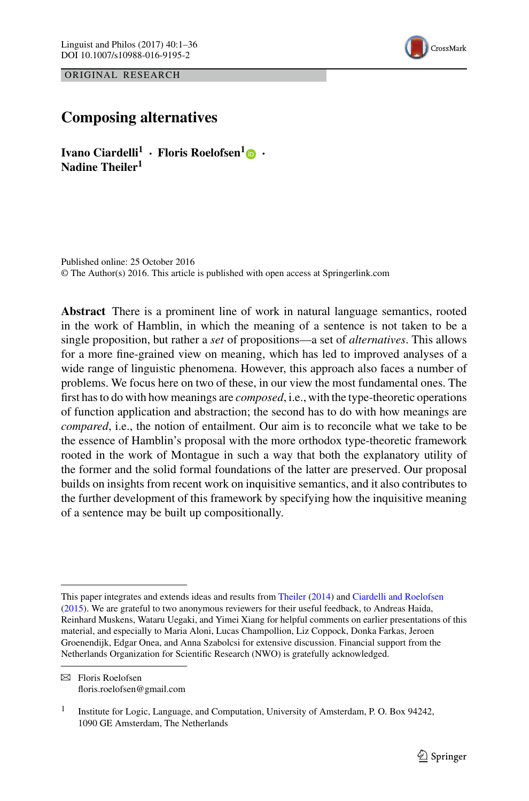



## **Composing alternatives**

**Ivano Ciardelli1 · Floris Roelofsen[1](http://orcid.org/0000-0002-3224-5251) · Nadine Theiler1**

Published online: 25 October 2016 © The Author(s) 2016. This article is published with open access at Springerlink.com

**Abstract** There is a prominent line of work in natural language semantics, rooted in the work of Hamblin, in which the meaning of a sentence is not taken to be a single proposition, but rather a *set* of propositions—a set of *alternatives*. This allows for a more fine-grained view on meaning, which has led to improved analyses of a wide range of linguistic phenomena. However, this approach also faces a number of problems. We focus here on two of these, in our view the most fundamental ones. The first has to do with how meanings are *composed*, i.e., with the type-theoretic operations of function application and abstraction; the second has to do with how meanings are *compared*, i.e., the notion of entailment. Our aim is to reconcile what we take to be the essence of Hamblin's proposal with the more orthodox type-theoretic framework rooted in the work of Montague in such a way that both the explanatory utility of the former and the solid formal foundations of the latter are preserved. Our proposal builds on insights from recent work on inquisitive semantics, and it also contributes to the further development of this framework by specifying how the inquisitive meaning of a sentence may be built up compositionally.

This paper integrates and extends ideas and results from [Theiler](#page-36-0) [\(2014\)](#page-36-0) and [Ciardelli and Roelofsen](#page-34-0) [\(2015](#page-34-0)). We are grateful to two anonymous reviewers for their useful feedback, to Andreas Haida, Reinhard Muskens, Wataru Uegaki, and Yimei Xiang for helpful comments on earlier presentations of this material, and especially to Maria Aloni, Lucas Champollion, Liz Coppock, Donka Farkas, Jeroen Groenendijk, Edgar Onea, and Anna Szabolcsi for extensive discussion. Financial support from the Netherlands Organization for Scientific Research (NWO) is gratefully acknowledged.

B Floris Roelofsen floris.roelofsen@gmail.com

<sup>&</sup>lt;sup>1</sup> Institute for Logic, Language, and Computation, University of Amsterdam, P. O. Box 94242, 1090 GE Amsterdam, The Netherlands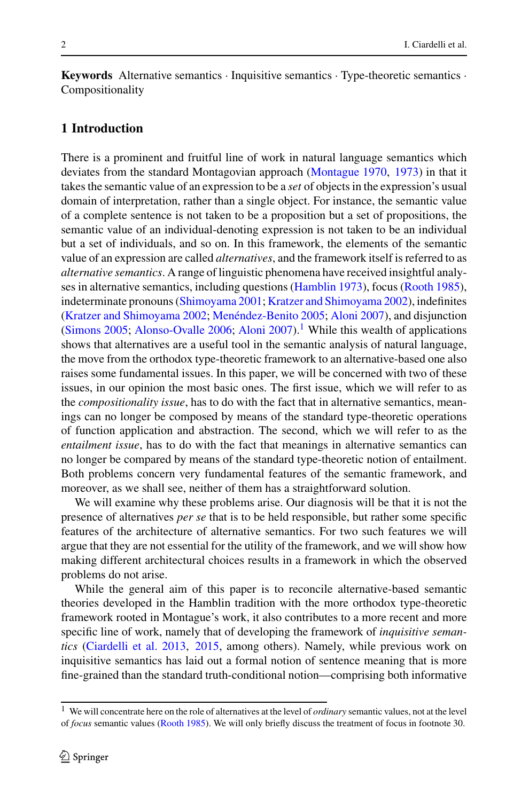**Keywords** Alternative semantics · Inquisitive semantics · Type-theoretic semantics · Compositionality

### **1 Introduction**

There is a prominent and fruitful line of work in natural language semantics which deviates from the standard Montagovian approach [\(Montague 1970](#page-35-0), [1973\)](#page-35-1) in that it takes the semantic value of an expression to be a *set* of objects in the expression's usual domain of interpretation, rather than a single object. For instance, the semantic value of a complete sentence is not taken to be a proposition but a set of propositions, the semantic value of an individual-denoting expression is not taken to be an individual but a set of individuals, and so on. In this framework, the elements of the semantic value of an expression are called *alternatives*, and the framework itself is referred to as *alternative semantics*. A range of linguistic phenomena have received insightful analyses in alternative semantics, including questions [\(Hamblin 1973](#page-35-2)), focus [\(Rooth 1985](#page-35-3)), indeterminate pronouns [\(Shimoyama 2001](#page-35-4); [Kratzer and Shimoyama 2002](#page-35-5)), indefinites [\(Kratzer and Shimoyama 2002;](#page-35-5) [Menéndez-Benito 2005](#page-35-6); [Aloni 2007](#page-34-1)), and disjunction [\(Simons 2005](#page-36-1); [Alonso-Ovalle 2006;](#page-34-2) [Aloni 2007](#page-34-1)).<sup>[1](#page-2-0)</sup> While this wealth of applications shows that alternatives are a useful tool in the semantic analysis of natural language, the move from the orthodox type-theoretic framework to an alternative-based one also raises some fundamental issues. In this paper, we will be concerned with two of these issues, in our opinion the most basic ones. The first issue, which we will refer to as the *compositionality issue*, has to do with the fact that in alternative semantics, meanings can no longer be composed by means of the standard type-theoretic operations of function application and abstraction. The second, which we will refer to as the *entailment issue*, has to do with the fact that meanings in alternative semantics can no longer be compared by means of the standard type-theoretic notion of entailment. Both problems concern very fundamental features of the semantic framework, and moreover, as we shall see, neither of them has a straightforward solution.

We will examine why these problems arise. Our diagnosis will be that it is not the presence of alternatives *per se* that is to be held responsible, but rather some specific features of the architecture of alternative semantics. For two such features we will argue that they are not essential for the utility of the framework, and we will show how making different architectural choices results in a framework in which the observed problems do not arise.

While the general aim of this paper is to reconcile alternative-based semantic theories developed in the Hamblin tradition with the more orthodox type-theoretic framework rooted in Montague's work, it also contributes to a more recent and more specific line of work, namely that of developing the framework of *inquisitive semantics* [\(Ciardelli et al. 2013,](#page-35-7) [2015](#page-35-8), among others). Namely, while previous work on inquisitive semantics has laid out a formal notion of sentence meaning that is more fine-grained than the standard truth-conditional notion—comprising both informative

<span id="page-2-0"></span><sup>1</sup> We will concentrate here on the role of alternatives at the level of *ordinary* semantic values, not at the level of *focus* semantic values [\(Rooth 1985\)](#page-35-3). We will only briefly discuss the treatment of focus in footnote 30.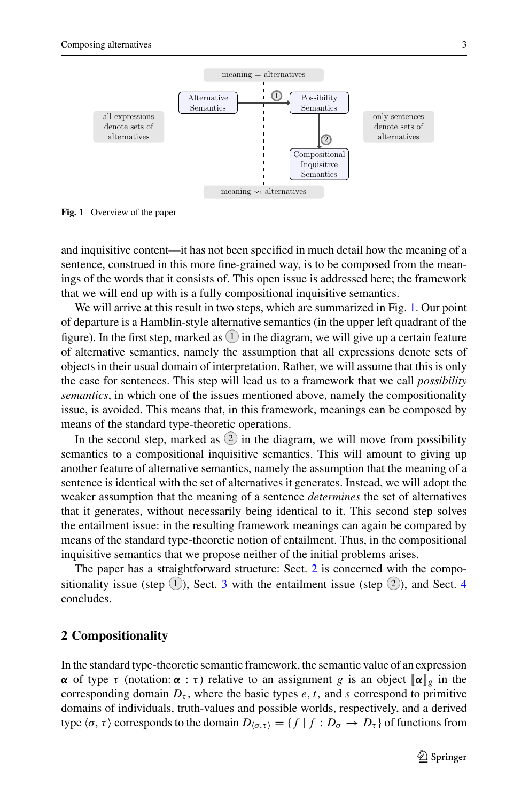

<span id="page-3-0"></span>**Fig. 1** Overview of the paper

and inquisitive content—it has not been specified in much detail how the meaning of a sentence, construed in this more fine-grained way, is to be composed from the meanings of the words that it consists of. This open issue is addressed here; the framework that we will end up with is a fully compositional inquisitive semantics.

We will arrive at this result in two steps, which are summarized in Fig. [1.](#page-3-0) Our point of departure is a Hamblin-style alternative semantics (in the upper left quadrant of the figure). In the first step, marked as  $(1)$  in the diagram, we will give up a certain feature of alternative semantics, namely the assumption that all expressions denote sets of objects in their usual domain of interpretation. Rather, we will assume that this is only the case for sentences. This step will lead us to a framework that we call *possibility semantics*, in which one of the issues mentioned above, namely the compositionality issue, is avoided. This means that, in this framework, meanings can be composed by means of the standard type-theoretic operations.

In the second step, marked as  $(2)$  in the diagram, we will move from possibility semantics to a compositional inquisitive semantics. This will amount to giving up another feature of alternative semantics, namely the assumption that the meaning of a sentence is identical with the set of alternatives it generates. Instead, we will adopt the weaker assumption that the meaning of a sentence *determines* the set of alternatives that it generates, without necessarily being identical to it. This second step solves the entailment issue: in the resulting framework meanings can again be compared by means of the standard type-theoretic notion of entailment. Thus, in the compositional inquisitive semantics that we propose neither of the initial problems arises.

The paper has a straightforward structure: Sect. [2](#page-3-1) is concerned with the compositionality issue (step  $(1)$ ), Sect. [3](#page-12-0) with the entailment issue (step  $(2)$ ), and Sect. [4](#page-29-0) concludes.

### <span id="page-3-1"></span>**2 Compositionality**

In the standard type-theoretic semantic framework, the semantic value of an expression *α* of type  $\tau$  (notation:  $\alpha : \tau$ ) relative to an assignment *g* is an object  $[\![\alpha]\!]_g$  in the corresponding domain  $D_{\tau}$ , where the basic types *e*, *t*, and *s* correspond to primitive domains of individuals, truth-values and possible worlds, respectively, and a derived type  $\langle \sigma, \tau \rangle$  corresponds to the domain  $D_{\langle \sigma, \tau \rangle} = \{ f \mid f : D_{\sigma} \to D_{\tau} \}$  of functions from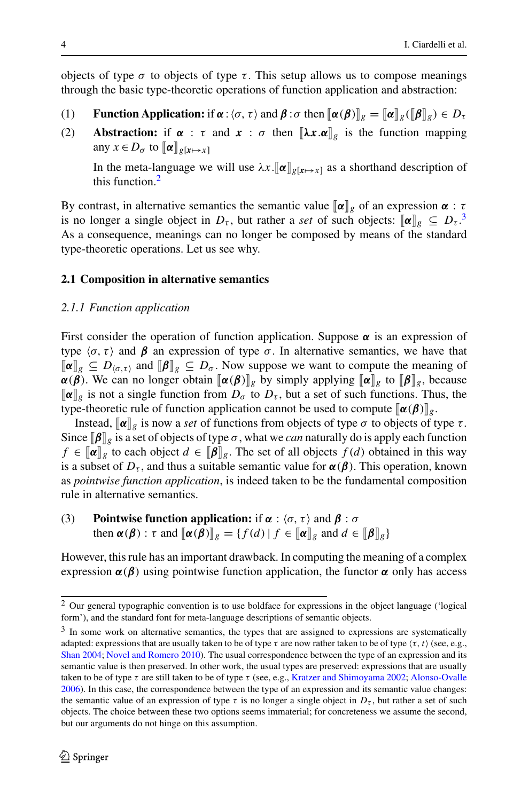objects of type  $\sigma$  to objects of type  $\tau$ . This setup allows us to compose meanings through the basic type-theoretic operations of function application and abstraction:

- (1) **Function Application:** if  $\alpha$  :  $\langle \sigma, \tau \rangle$  and  $\beta$  :  $\sigma$  then  $[\alpha(\beta)]_g = [\alpha]_g([\beta]_g) \in D_t$
- (2) **Abstraction:** if  $\alpha : \tau$  and  $x : \sigma$  then  $\|\lambda x . \alpha\|_{g}$  is the function mapping any  $x \in D_{\sigma}$  to  $[\![\boldsymbol{\alpha}]\!]_{g[x \mapsto x]}$

In the meta-language we will use  $\lambda x$ .  $\llbracket \alpha \rrbracket_{g[x \mapsto x]}$  as a shorthand description of this function.<sup>2</sup>

By contrast, in alternative semantics the semantic value  $[\![\alpha]\!]_g$  of an expression  $\alpha$ :  $\tau$ is no longer a single object in  $D_{\tau}$ , but rather a *set* of such objects:  $[\![\boldsymbol{\alpha}]\!]_g \subseteq D_{\tau}$ .<sup>[3](#page-4-1)</sup> As a consequence, meanings can no longer be composed by means of the standard type-theoretic operations. Let us see why.

### **2.1 Composition in alternative semantics**

### *2.1.1 Function application*

First consider the operation of function application. Suppose *α* is an expression of type  $\langle \sigma, \tau \rangle$  and *β* an expression of type  $\sigma$ . In alternative semantics, we have that  $[\![\boldsymbol{\alpha}]\!]_g \subseteq D_{\langle \sigma, \tau \rangle}$  and  $[\![\boldsymbol{\beta}]\!]_g \subseteq D_{\sigma}$ . Now suppose we want to compute the meaning of  $\alpha(\beta)$ . We can no longer obtain  $[\alpha(\beta)]_g$  by simply applying  $[\alpha]_g$  to  $[\beta]_g$ , because  $[\![\boldsymbol{\alpha}]\!]_g$  is not a single function from  $D_{\sigma}$  to  $D_{\tau}$ , but a set of such functions. Thus, the type-theoretic rule of function application cannot be used to compute  $[\![\alpha(\beta)]\!]_g$ .

Instead,  $[\![\boldsymbol{\alpha}]\!]_g$  is now a *set* of functions from objects of type  $\sigma$  to objects of type  $\tau$ . Since  $[\![\boldsymbol{\beta}]\!]_g$  is a set of objects of type  $\sigma$  , what we *can* naturally do is apply each function  $f \in [\![\alpha]\!]_g$  to each object  $d \in [\![\beta]\!]_g$ . The set of all objects  $f(d)$  obtained in this way is a subset of  $D_{\tau}$ , and thus a suitable semantic value for  $\alpha(\beta)$ . This operation, known as *pointwise function application*, is indeed taken to be the fundamental composition rule in alternative semantics.

(3) **Pointwise function application:** if  $\alpha$  :  $\langle \sigma, \tau \rangle$  and  $\beta$  :  $\sigma$ then  $\alpha(\beta)$ :  $\tau$  and  $[\![\alpha(\beta)]\!]_g = \{f(d) | f \in [\![\alpha]\!]_g \}$  and  $d \in [\![\beta]\!]_g\}$ 

However, this rule has an important drawback. In computing the meaning of a complex expression  $\alpha(\beta)$  using pointwise function application, the functor  $\alpha$  only has access

<span id="page-4-0"></span><sup>2</sup> Our general typographic convention is to use boldface for expressions in the object language ('logical form'), and the standard font for meta-language descriptions of semantic objects.

<span id="page-4-1"></span><sup>&</sup>lt;sup>3</sup> In some work on alternative semantics, the types that are assigned to expressions are systematically adapted: expressions that are usually taken to be of type  $\tau$  are now rather taken to be of type  $\langle \tau, t \rangle$  (see, e.g., [Shan 2004](#page-35-9); [Novel and Romero 2010\)](#page-35-10). The usual correspondence between the type of an expression and its semantic value is then preserved. In other work, the usual types are preserved: expressions that are usually taken to be of type  $\tau$  are still taken to be of type  $\tau$  (see, e.g., [Kratzer and Shimoyama 2002](#page-35-5); [Alonso-Ovalle](#page-34-2) [2006\)](#page-34-2). In this case, the correspondence between the type of an expression and its semantic value changes: the semantic value of an expression of type  $\tau$  is no longer a single object in  $D_{\tau}$ , but rather a set of such objects. The choice between these two options seems immaterial; for concreteness we assume the second, but our arguments do not hinge on this assumption.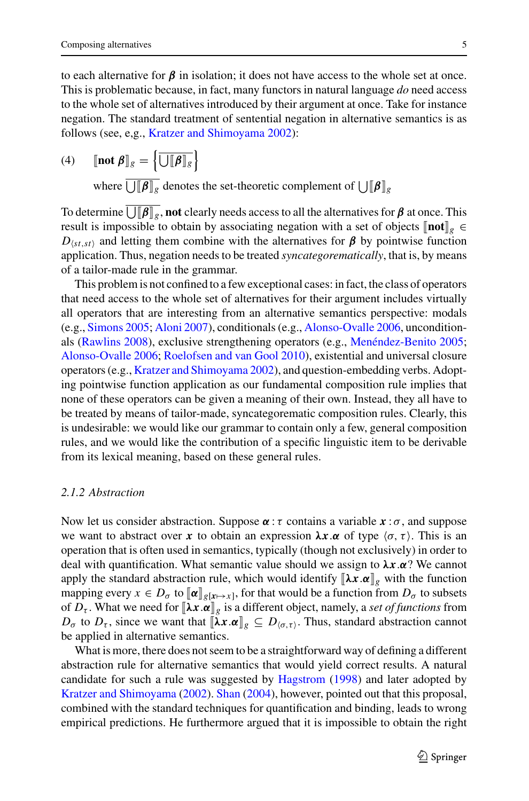to each alternative for  $\beta$  in isolation; it does not have access to the whole set at once. This is problematic because, in fact, many functors in natural language *do* need access to the whole set of alternatives introduced by their argument at once. Take for instance negation. The standard treatment of sentential negation in alternative semantics is as follows (see, e,g., [Kratzer and Shimoyama 2002](#page-35-5)):

(4) 
$$
\begin{aligned}\n\llbracket \text{not } \beta \rrbracket_g &= \left\{ \overline{\bigcup[\beta]_g} \right\} \\
\text{where } \overline{\bigcup[\beta]_g} \text{ denotes the set-theoretic complement of } \bigcup[\beta]_g\n\end{aligned}
$$

 $\int$  To determine  $\bigcup \llbracket \pmb{\beta} \rrbracket_g$ , **not** clearly needs access to all the alternatives for  $\pmb{\beta}$  at once. This result is impossible to obtain by associating negation with a set of objects  $\left[\text{not}\right]_g \in$  $D_{\langle st,st\rangle}$  and letting them combine with the alternatives for  $\beta$  by pointwise function application. Thus, negation needs to be treated *syncategorematically*, that is, by means of a tailor-made rule in the grammar.

This problem is not confined to a few exceptional cases: in fact, the class of operators that need access to the whole set of alternatives for their argument includes virtually all operators that are interesting from an alternative semantics perspective: modals (e.g., [Simons 2005](#page-36-1); [Aloni 2007\)](#page-34-1), conditionals (e.g., [Alonso-Ovalle 2006,](#page-34-2) unconditionals [\(Rawlins 2008](#page-35-11)), exclusive strengthening operators (e.g., [Menéndez-Benito 2005](#page-35-6); [Alonso-Ovalle 2006](#page-34-2); [Roelofsen and van Gool 2010\)](#page-35-12), existential and universal closure operators (e.g., [Kratzer and Shimoyama 2002\)](#page-35-5), and question-embedding verbs. Adopting pointwise function application as our fundamental composition rule implies that none of these operators can be given a meaning of their own. Instead, they all have to be treated by means of tailor-made, syncategorematic composition rules. Clearly, this is undesirable: we would like our grammar to contain only a few, general composition rules, and we would like the contribution of a specific linguistic item to be derivable from its lexical meaning, based on these general rules.

### *2.1.2 Abstraction*

Now let us consider abstraction. Suppose *α* : τ contains a variable *x* : σ, and suppose we want to abstract over *x* to obtain an expression  $\lambda x \cdot \alpha$  of type  $\langle \sigma, \tau \rangle$ . This is an operation that is often used in semantics, typically (though not exclusively) in order to deal with quantification. What semantic value should we assign to *λx*.*α*? We cannot apply the standard abstraction rule, which would identify  $[\lambda x.\alpha]_g$  with the function mapping every  $x \in D_{\sigma}$  to  $[\![\alpha]\!]_{g[x \mapsto x]}$ , for that would be a function from  $D_{\sigma}$  to subsets of  $D_{\tau}$  . What we need for  $[\![\lambda x.\boldsymbol{\alpha}]\!]_g$  is a different object, namely, a *set of functions* from *D<sub>σ</sub>* to *D<sub>τ</sub>*, since we want that  $[\lambda x.\alpha]_g \subseteq D_{(\sigma,\tau)}$ . Thus, standard abstraction cannot be applied in alternative semantics.

What is more, there does not seem to be a straightforward way of defining a different abstraction rule for alternative semantics that would yield correct results. A natural candidate for such a rule was suggested by [Hagstrom](#page-35-13) [\(1998](#page-35-13)) and later adopted by [Kratzer and Shimoyama](#page-35-5) [\(2002](#page-35-5)). [Shan](#page-35-9) [\(2004](#page-35-9)), however, pointed out that this proposal, combined with the standard techniques for quantification and binding, leads to wrong empirical predictions. He furthermore argued that it is impossible to obtain the right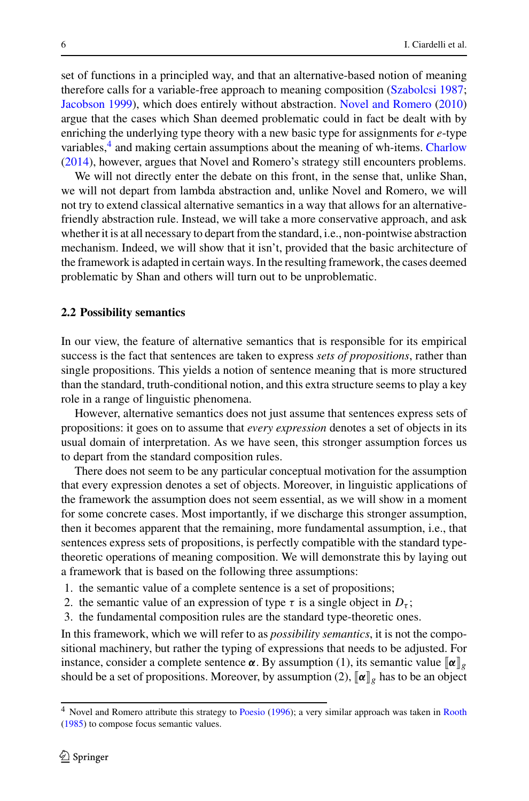set of functions in a principled way, and that an alternative-based notion of meaning therefore calls for a variable-free approach to meaning composition [\(Szabolcsi 1987](#page-36-2); [Jacobson 1999\)](#page-35-14), which does entirely without abstraction. [Novel and Romero](#page-35-10) [\(2010\)](#page-35-10) argue that the cases which Shan deemed problematic could in fact be dealt with by enriching the underlying type theory with a new basic type for assignments for *e*-type variables, $<sup>4</sup>$  $<sup>4</sup>$  $<sup>4</sup>$  and making certain assumptions about the meaning of wh-items. [Charlow](#page-34-3)</sup> [\(2014\)](#page-34-3), however, argues that Novel and Romero's strategy still encounters problems.

We will not directly enter the debate on this front, in the sense that, unlike Shan, we will not depart from lambda abstraction and, unlike Novel and Romero, we will not try to extend classical alternative semantics in a way that allows for an alternativefriendly abstraction rule. Instead, we will take a more conservative approach, and ask whether it is at all necessary to depart from the standard, i.e., non-pointwise abstraction mechanism. Indeed, we will show that it isn't, provided that the basic architecture of the framework is adapted in certain ways. In the resulting framework, the cases deemed problematic by Shan and others will turn out to be unproblematic.

### <span id="page-6-1"></span>**2.2 Possibility semantics**

In our view, the feature of alternative semantics that is responsible for its empirical success is the fact that sentences are taken to express *sets of propositions*, rather than single propositions. This yields a notion of sentence meaning that is more structured than the standard, truth-conditional notion, and this extra structure seems to play a key role in a range of linguistic phenomena.

However, alternative semantics does not just assume that sentences express sets of propositions: it goes on to assume that *every expression* denotes a set of objects in its usual domain of interpretation. As we have seen, this stronger assumption forces us to depart from the standard composition rules.

There does not seem to be any particular conceptual motivation for the assumption that every expression denotes a set of objects. Moreover, in linguistic applications of the framework the assumption does not seem essential, as we will show in a moment for some concrete cases. Most importantly, if we discharge this stronger assumption, then it becomes apparent that the remaining, more fundamental assumption, i.e., that sentences express sets of propositions, is perfectly compatible with the standard typetheoretic operations of meaning composition. We will demonstrate this by laying out a framework that is based on the following three assumptions:

- 1. the semantic value of a complete sentence is a set of propositions;
- 2. the semantic value of an expression of type  $\tau$  is a single object in  $D_{\tau}$ ;
- 3. the fundamental composition rules are the standard type-theoretic ones.

In this framework, which we will refer to as *possibility semantics*, it is not the compositional machinery, but rather the typing of expressions that needs to be adjusted. For instance, consider a complete sentence  $\boldsymbol{\alpha}$ . By assumption (1), its semantic value  $[\![\boldsymbol{\alpha}]\!]_g$ should be a set of propositions. Moreover, by assumption (2),  $\llbracket\pmb{\alpha}\rrbracket_g$  has to be an object

<span id="page-6-0"></span><sup>4</sup> Novel and Romero attribute this strategy to [Poesio](#page-35-15) [\(1996](#page-35-15)); a very similar approach was taken in [Rooth](#page-35-3) [\(1985](#page-35-3)) to compose focus semantic values.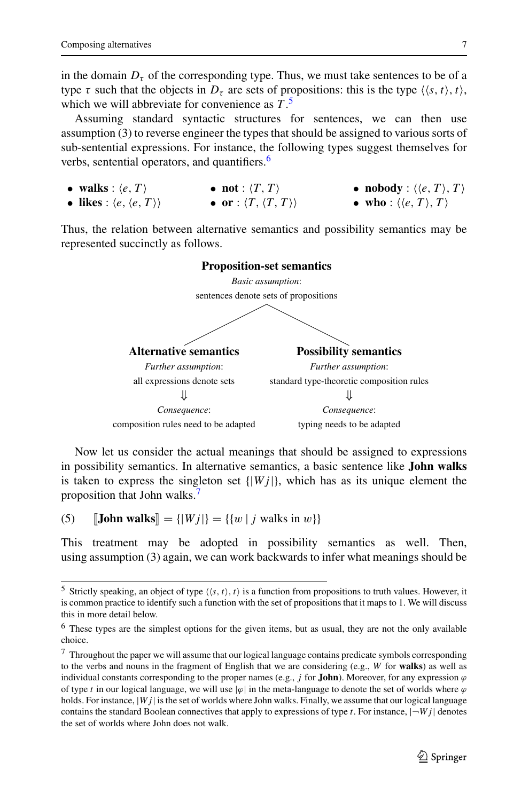in the domain  $D<sub>\tau</sub>$  of the corresponding type. Thus, we must take sentences to be of a type  $\tau$  such that the objects in  $D_{\tau}$  are sets of propositions: this is the type  $\langle \langle s, t \rangle, t \rangle$ , which we will abbreviate for convenience as *T* . [5](#page-7-0)

Assuming standard syntactic structures for sentences, we can then use assumption (3) to reverse engineer the types that should be assigned to various sorts of sub-sentential expressions. For instance, the following types suggest themselves for verbs, sentential operators, and quantifiers.<sup>6</sup>

• walks :  $\langle e, T \rangle$ • likes :  $\langle e, \langle e, T \rangle \rangle$ • **not** :  $\langle T, T \rangle$ • **or** :  $\langle T, \langle T, T \rangle \rangle$ • **nobody** :  $\langle \langle e, T \rangle, T \rangle$ • who :  $\langle \langle e, T \rangle, T \rangle$ 

Thus, the relation between alternative semantics and possibility semantics may be represented succinctly as follows.



Now let us consider the actual meanings that should be assigned to expressions in possibility semantics. In alternative semantics, a basic sentence like **John walks** is taken to express the singleton set  $\{|\overline{Wj}|\}$ , which has as its unique element the proposition that John walks.<sup>[7](#page-7-2)</sup>

 $(5)$  $[\text{John walks}] = \{ |Wj| \} = \{ \{ w | j \text{ walks in } w \} \}$ 

This treatment may be adopted in possibility semantics as well. Then, using assumption (3) again, we can work backwards to infer what meanings should be

<span id="page-7-0"></span><sup>&</sup>lt;sup>5</sup> Strictly speaking, an object of type  $\langle \langle s, t \rangle, t \rangle$  is a function from propositions to truth values. However, it is common practice to identify such a function with the set of propositions that it maps to 1. We will discuss this in more detail below.

<span id="page-7-1"></span><sup>6</sup> These types are the simplest options for the given items, but as usual, they are not the only available choice.

<span id="page-7-2"></span> $7$  Throughout the paper we will assume that our logical language contains predicate symbols corresponding to the verbs and nouns in the fragment of English that we are considering (e.g., *W* for **walks**) as well as individual constants corresponding to the proper names (e.g., *j* for **John**). Moreover, for any expression  $\varphi$ of type *t* in our logical language, we will use  $|\varphi|$  in the meta-language to denote the set of worlds where  $\varphi$ holds. For instance,  $|Wj|$  is the set of worlds where John walks. Finally, we assume that our logical language contains the standard Boolean connectives that apply to expressions of type *t*. For instance,  $|\neg W_i|$  denotes the set of worlds where John does not walk.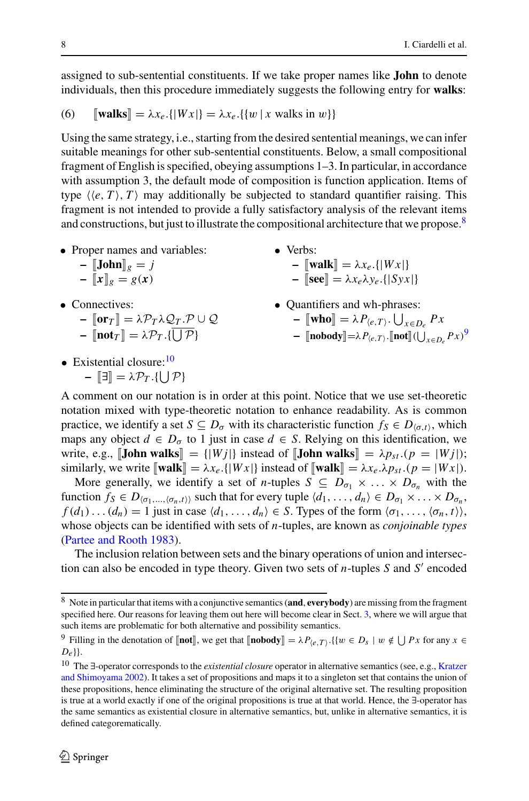assigned to sub-sentential constituents. If we take proper names like **John** to denote individuals, then this procedure immediately suggests the following entry for **walks**:

(6) 
$$
\llbracket \textbf{walks} \rrbracket = \lambda x_e . \{ |Wx| \} = \lambda x_e . \{ \{ w \mid x \text{ walks in } w \} \}
$$

Using the same strategy, i.e., starting from the desired sentential meanings, we can infer suitable meanings for other sub-sentential constituents. Below, a small compositional fragment of English is specified, obeying assumptions 1–3. In particular, in accordance with assumption 3, the default mode of composition is function application. Items of type  $\langle \langle e, T \rangle, T \rangle$  may additionally be subjected to standard quantifier raising. This fragment is not intended to provide a fully satisfactory analysis of the relevant items and constructions, but just to illustrate the compositional architecture that we propose.<sup>8</sup>

- Proper names and variables:
	- $\begin{bmatrix} \textbf{John} \end{bmatrix}_g = j$  $\llbracket x \rrbracket_g = g(x)$
- Connectives:
	- $\left[\mathbf{or}_{T}\right] = \lambda \mathcal{P}_{T} \lambda \mathcal{Q}_{T} . \mathcal{P} \cup \mathcal{Q}$

$$
- [\hspace{-0.3ex}[ \mathbf{not}_T ]\hspace{-0.3ex}] = \lambda \mathcal{P}_T . \{\bigcup \mathcal{P}\}
$$

• Existential closure:  $10$  $\mathcal{P} = \left[ \exists \right] = \lambda \mathcal{P}_T . \{\bigcup \mathcal{P}\}\$ 

- Verbs:  $[\![\text{walk}]\!] = \lambda x_e . \{|Wx|\}$  $[\text{see}] = \lambda x_e \lambda y_e. \{ |Syx| \}$
- Ouantifiers and wh-phrases:  $[\![$ **who** $]\!] = \lambda P_{\langle e, T \rangle}$ .  $\bigcup_{x \in D_e} P_x$  $\left[\text{nobody}\right]=\lambda P_{\langle e, T\rangle}.[\text{not}](\bigcup_{x\in D_e}Px)^9$  $\left[\text{nobody}\right]=\lambda P_{\langle e, T\rangle}.[\text{not}](\bigcup_{x\in D_e}Px)^9$

A comment on our notation is in order at this point. Notice that we use set-theoretic notation mixed with type-theoretic notation to enhance readability. As is common practice, we identify a set  $S \subseteq D_{\sigma}$  with its characteristic function  $f_S \in D_{\langle \sigma, t \rangle}$ , which maps any object  $d \in D_{\sigma}$  to 1 just in case  $d \in S$ . Relying on this identification, we write, e.g.,  $\llbracket \textbf{John walks} \rrbracket = \{ |Wj| \}$  instead of  $\llbracket \textbf{John walks} \rrbracket = \lambda p_{st} . (p = |Wj|);$ similarly, we write  $[\textbf{walk}] = \lambda x_e$ .  $\{ |Wx| \}$  instead of  $[\textbf{walk}] = \lambda x_e \cdot \lambda p_{st}$ .  $(p = |Wx|)$ .

More generally, we identify a set of *n*-tuples  $S \subseteq D_{\sigma_1} \times \ldots \times D_{\sigma_n}$  with the function  $f_S \in D_{\langle \sigma_1,...,\langle \sigma_n,t\rangle\rangle}$  such that for every tuple  $\langle d_1,...,d_n\rangle \in D_{\sigma_1} \times ... \times D_{\sigma_n}$ ,  $f(d_1) \ldots (d_n) = 1$  just in case  $\langle d_1, \ldots, d_n \rangle \in S$ . Types of the form  $\langle \sigma_1, \ldots, \langle \sigma_n, t \rangle \rangle$ , whose objects can be identified with sets of *n*-tuples, are known as *conjoinable types* [\(Partee and Rooth 1983\)](#page-35-16).

The inclusion relation between sets and the binary operations of union and intersection can also be encoded in type theory. Given two sets of *n*-tuples *S* and *S* encoded

<span id="page-8-0"></span><sup>8</sup> Note in particular that items with a conjunctive semantics (**and**, **everybody**) are missing from the fragment specified here. Our reasons for leaving them out here will become clear in Sect. [3,](#page-12-0) where we will argue that such items are problematic for both alternative and possibility semantics.

<sup>&</sup>lt;sup>9</sup> Filling in the denotation of  $[\![\text{not}]\!]$ , we get that  $[\![\text{nobody}]\!] = \lambda P_{\langle e, T \rangle}$ .  $\{ \{ w \in D_s \mid w \notin \bigcup Px \text{ for any } x \in \mathbb{R} \}$ *De*}}.

<span id="page-8-2"></span><span id="page-8-1"></span><sup>10</sup> The <sup>∃</sup>-operator corresponds to the *existential closure* [operator](#page-35-5) [in](#page-35-5) [alternative](#page-35-5) [semantics](#page-35-5) [\(see,](#page-35-5) [e.g.,](#page-35-5) Kratzer and Shimoyama [2002\)](#page-35-5). It takes a set of propositions and maps it to a singleton set that contains the union of these propositions, hence eliminating the structure of the original alternative set. The resulting proposition is true at a world exactly if one of the original propositions is true at that world. Hence, the ∃-operator has the same semantics as existential closure in alternative semantics, but, unlike in alternative semantics, it is defined categorematically.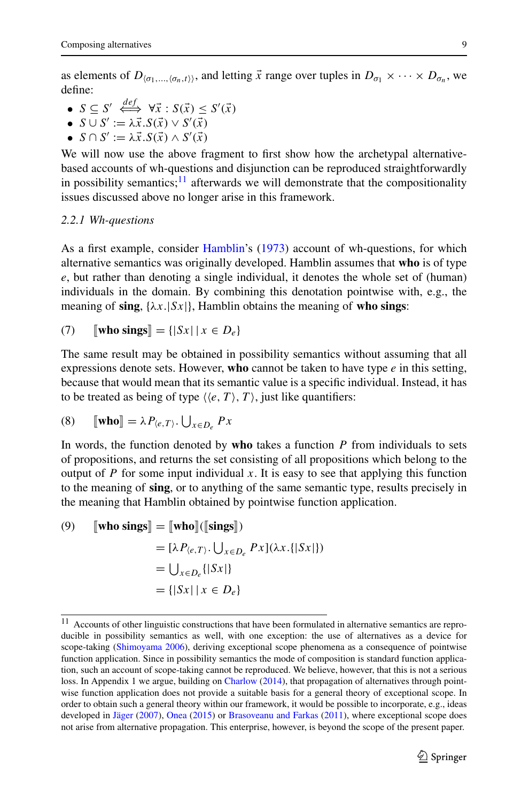as elements of  $D_{\langle \sigma_1,...,\langle \sigma_n,t\rangle\rangle}$ , and letting  $\vec{x}$  range over tuples in  $D_{\sigma_1} \times \cdots \times D_{\sigma_n}$ , we define:

- $S \subseteq S' \iff \forall \vec{x} : S(\vec{x}) \leq S'(\vec{x})$
- $\bullet$  *S* ∪ *S'* := λ $\overline{x}$ .*S*( $\overline{x}$ ) ∨ *S'*( $\overline{x}$ )
- $\bullet$  *S* ∩ *S'* :=  $\lambda \overline{x}$ .*S*( $\overline{x}$ ) ∧ *S'*( $\overline{x}$ )

We will now use the above fragment to first show how the archetypal alternativebased accounts of wh-questions and disjunction can be reproduced straightforwardly in possibility semantics;<sup>[11](#page-9-0)</sup> afterwards we will demonstrate that the compositionality issues discussed above no longer arise in this framework.

### *2.2.1 Wh-questions*

As a first example, consider [Hamblin](#page-35-2)'s [\(1973\)](#page-35-2) account of wh-questions, for which alternative semantics was originally developed. Hamblin assumes that **who** is of type *e*, but rather than denoting a single individual, it denotes the whole set of (human) individuals in the domain. By combining this denotation pointwise with, e.g., the meaning of  $\sin g$ ,  $\{\lambda x. |Sx|\}$ , Hamblin obtains the meaning of who sings:

(7) 
$$
\llbracket \textbf{who signs} \rrbracket = \{ |Sx| \mid x \in D_e \}
$$

The same result may be obtained in possibility semantics without assuming that all expressions denote sets. However, **who** cannot be taken to have type *e* in this setting, because that would mean that its semantic value is a specific individual. Instead, it has to be treated as being of type  $\langle \langle e, T \rangle, T \rangle$ , just like quantifiers:

$$
(8) \qquad [\mathbf{who}] = \lambda P_{\langle e, T \rangle}. \bigcup_{x \in D_e} Px
$$

In words, the function denoted by **who** takes a function *P* from individuals to sets of propositions, and returns the set consisting of all propositions which belong to the output of  $P$  for some input individual  $x$ . It is easy to see that applying this function to the meaning of **sing**, or to anything of the same semantic type, results precisely in the meaning that Hamblin obtained by pointwise function application.

(9) 
$$
\llbracket \textbf{who } \textbf{sings} \rrbracket = \llbracket \textbf{who} \rrbracket (\llbracket \textbf{sings} \rrbracket)
$$

$$
= [\lambda P_{\langle e, T \rangle}. \bigcup_{x \in D_e} P x ] (\lambda x. \{|Sx|\})
$$

$$
= \bigcup_{x \in D_e} \{|Sx|\}
$$

$$
= \{|Sx| \mid x \in D_e\}
$$

<span id="page-9-0"></span> $11$  Accounts of other linguistic constructions that have been formulated in alternative semantics are reproducible in possibility semantics as well, with one exception: the use of alternatives as a device for scope-taking [\(Shimoyama 2006](#page-36-3)), deriving exceptional scope phenomena as a consequence of pointwise function application. Since in possibility semantics the mode of composition is standard function application, such an account of scope-taking cannot be reproduced. We believe, however, that this is not a serious loss. In Appendix 1 we argue, building on [Charlow](#page-34-3) [\(2014](#page-34-3)), that propagation of alternatives through pointwise function application does not provide a suitable basis for a general theory of exceptional scope. In order to obtain such a general theory within our framework, it would be possible to incorporate, e.g., ideas developed in [Jäger](#page-35-17) [\(2007\)](#page-35-17), [Onea](#page-35-18) [\(2015](#page-35-18)) or [Brasoveanu and Farkas](#page-34-4) [\(2011](#page-34-4)), where exceptional scope does not arise from alternative propagation. This enterprise, however, is beyond the scope of the present paper.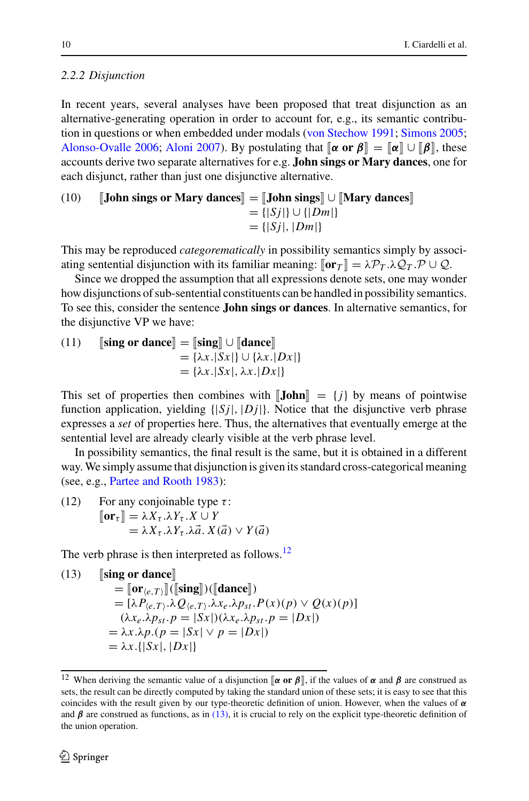### *2.2.2 Disjunction*

In recent years, several analyses have been proposed that treat disjunction as an alternative-generating operation in order to account for, e.g., its semantic contribution in questions or when embedded under modals [\(von Stechow 1991](#page-36-4); [Simons 2005](#page-36-1); [Alonso-Ovalle 2006](#page-34-2); [Aloni 2007](#page-34-1)). By postulating that  $\llbracket \alpha \text{ or } \beta \rrbracket = \llbracket \alpha \rrbracket \cup \llbracket \beta \rrbracket$ , these accounts derive two separate alternatives for e.g. **John sings or Mary dances**, one for each disjunct, rather than just one disjunctive alternative.

### $(10)$  $\textbf{John} \text{ sings or Mary dances} = \llbracket \textbf{John} \text{ sings} \rrbracket \cup \llbracket \textbf{Mary dances} \rrbracket$ = {|*Sj*|} ∪ {|*Dm*|}  $= \{|Sj|, |Dm|\}$

This may be reproduced *categorematically* in possibility semantics simply by associating sentential disjunction with its familiar meaning:  $[\textbf{or}_T] = \lambda \mathcal{P}_T \cdot \lambda \mathcal{Q}_T \cdot \mathcal{P} \cup \mathcal{Q}$ .

Since we dropped the assumption that all expressions denote sets, one may wonder how disjunctions of sub-sentential constituents can be handled in possibility semantics. To see this, consider the sentence **John sings or dances**. In alternative semantics, for the disjunctive VP we have:

(11) 
$$
\begin{aligned} \n\left\| \textbf{sing or dance} \right\| &= \left\| \textbf{sing} \right\| \cup \left[ \textbf{dance} \right] \\ \n&= \{ \lambda x . |Sx| \} \cup \{ \lambda x . |Dx| \} \\ \n&= \{ \lambda x . |Sx|, \lambda x . |Dx| \} \n\end{aligned}
$$

This set of properties then combines with  $\llbracket \text{John} \rrbracket = \{j\}$  by means of pointwise function application, yielding  $\{ |S_j|, |D_j| \}$ . Notice that the disjunctive verb phrase expresses a *set* of properties here. Thus, the alternatives that eventually emerge at the sentential level are already clearly visible at the verb phrase level.

In possibility semantics, the final result is the same, but it is obtained in a different way.We simply assume that disjunction is given its standard cross-categorical meaning (see, e.g., [Partee and Rooth 1983](#page-35-16)):

(12) For any conjoinable type  $\tau$ :  $\llbracket \mathbf{or}_\tau \rrbracket = \lambda X_\tau . \lambda Y_\tau . X \cup Y$  $= \lambda X_{\tau} \cdot \lambda Y_{\tau} \cdot \lambda \vec{a}$ .  $X(\vec{a}) \vee Y(\vec{a})$ 

<span id="page-10-1"></span>The verb phrase is then interpreted as follows.<sup>12</sup>

(13) 
$$
\begin{aligned}\n\text{[sing or dance]} \\
&= [\text{or}_{(e,T)}]([\text{sing}])([\text{dance}]) \\
&= [\lambda P_{(e,T)} \cdot \lambda Q_{(e,T)} \cdot \lambda x_e \cdot \lambda p_{st} \cdot P(x)(p) \vee Q(x)(p)] \\
&\quad (\lambda x_e \cdot \lambda p_{st} \cdot p = |Sx|) (\lambda x_e \cdot \lambda p_{st} \cdot p = |Dx|) \\
&= \lambda x \cdot \lambda p \cdot (p = |Sx| \vee p = |Dx|) \\
&= \lambda x \cdot \{|Sx|, |Dx|\}\n\end{aligned}
$$

<span id="page-10-0"></span><sup>&</sup>lt;sup>12</sup> When deriving the semantic value of a disjunction  $[\alpha \text{ or } \beta]$ , if the values of  $\alpha$  and  $\beta$  are construed as sets, the result can be directly computed by taking the standard union of these sets; it is easy to see that this coincides with the result given by our type-theoretic definition of union. However, when the values of *α* and  $\beta$  are construed as functions, as in [\(13\),](#page-10-1) it is crucial to rely on the explicit type-theoretic definition of the union operation.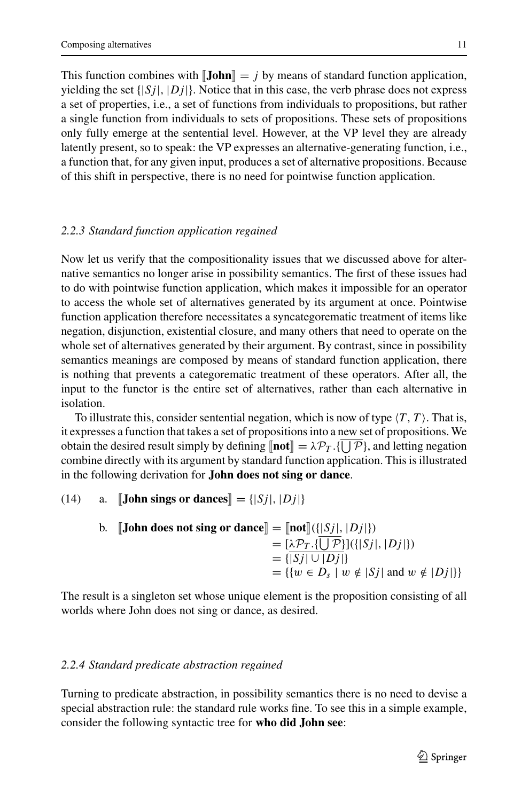This function combines with  $\llbracket \text{John} \rrbracket = j$  by means of standard function application, yielding the set  $\{ |S_j|, |D_j| \}$ . Notice that in this case, the verb phrase does not express a set of properties, i.e., a set of functions from individuals to propositions, but rather a single function from individuals to sets of propositions. These sets of propositions only fully emerge at the sentential level. However, at the VP level they are already latently present, so to speak: the VP expresses an alternative-generating function, i.e., a function that, for any given input, produces a set of alternative propositions. Because of this shift in perspective, there is no need for pointwise function application.

### *2.2.3 Standard function application regained*

Now let us verify that the compositionality issues that we discussed above for alternative semantics no longer arise in possibility semantics. The first of these issues had to do with pointwise function application, which makes it impossible for an operator to access the whole set of alternatives generated by its argument at once. Pointwise function application therefore necessitates a syncategorematic treatment of items like negation, disjunction, existential closure, and many others that need to operate on the whole set of alternatives generated by their argument. By contrast, since in possibility semantics meanings are composed by means of standard function application, there is nothing that prevents a categorematic treatment of these operators. After all, the input to the functor is the entire set of alternatives, rather than each alternative in isolation.

To illustrate this, consider sentential negation, which is now of type  $\langle T, T \rangle$ . That is, it expresses a function that takes a set of propositions into a new set of propositions. We obtain the desired result simply by defining  $\left[\text{not}\right] = \lambda \mathcal{P}_T$ .  $\{\bigcup \mathcal{P}\}\$ , and letting negation combine directly with its argument by standard function application. This is illustrated in the following derivation for **John does not sing or dance**.

- $(14)$  a.  $[\text{John sings or dances}] = \{ |Sj|, |Dj| \}$ 
	- b.  $\llbracket \textbf{John does not sing or dance} \rrbracket = \llbracket \textbf{not} \rrbracket (\{ |Sj|, |Dj| \})$  $= [\underbrace{\lambda \mathcal{P}_T . \{\bigcup \mathcal{P}\}}_{\sim}](\{|Sj|, |Dj|\})$  $= \{\overline{|Sj| \cup |Dj|}\}$  $= \{ \{ w \in D_s \mid w \notin |S_j| \text{ and } w \notin |D_j| \} \}$

The result is a singleton set whose unique element is the proposition consisting of all worlds where John does not sing or dance, as desired.

### *2.2.4 Standard predicate abstraction regained*

Turning to predicate abstraction, in possibility semantics there is no need to devise a special abstraction rule: the standard rule works fine. To see this in a simple example, consider the following syntactic tree for **who did John see**: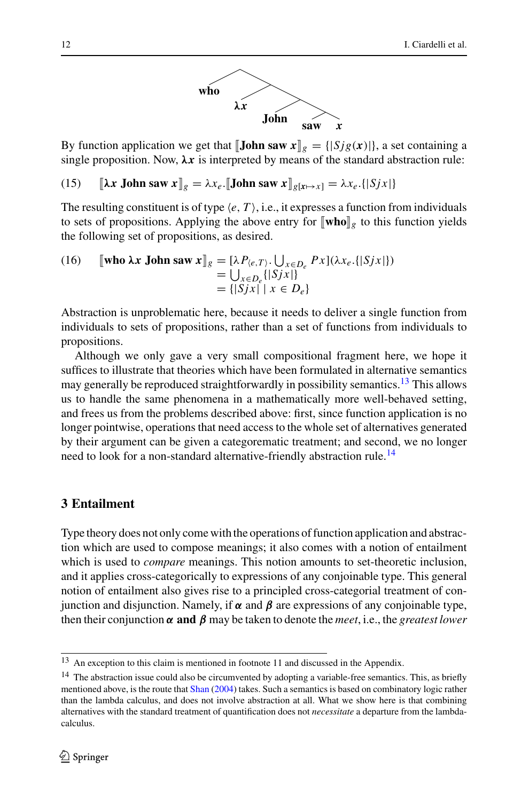

By function application we get that  $[\mathbf{John saw } x]_g = \{ |Sjg(x)| \}$ , a set containing a single proposition. Now,  $\lambda x$  is interpreted by means of the standard abstraction rule:

 $(15)$ *λx* **John saw**  $x \rVert_g = \lambda x_e$ . [[John saw  $x \rVert_{g[x \mapsto x]} = \lambda x_e$ . { $|Sjx|$ }

The resulting constituent is of type  $\langle e, T \rangle$ , i.e., it expresses a function from individuals to sets of propositions. Applying the above entry for  $[\![\mathbf{who}]\!]_g$  to this function yields the following set of propositions, as desired.

(16) 
$$
\begin{aligned} [\text{who } \lambda x \text{ John saw } x]_g &= [\lambda P_{\langle e, T \rangle} \cdot \bigcup_{x \in D_e} P_x](\lambda x_e \cdot \{|Sjx|\}) \\ &= \bigcup_{x \in D_e} \{|Sjx|\} \\ &= \{|Sjx| \mid x \in D_e\} \end{aligned}
$$

Abstraction is unproblematic here, because it needs to deliver a single function from individuals to sets of propositions, rather than a set of functions from individuals to propositions.

Although we only gave a very small compositional fragment here, we hope it suffices to illustrate that theories which have been formulated in alternative semantics may generally be reproduced straightforwardly in possibility semantics.<sup>[13](#page-12-1)</sup> This allows us to handle the same phenomena in a mathematically more well-behaved setting, and frees us from the problems described above: first, since function application is no longer pointwise, operations that need access to the whole set of alternatives generated by their argument can be given a categorematic treatment; and second, we no longer need to look for a non-standard alternative-friendly abstraction rule.<sup>14</sup>

### <span id="page-12-0"></span>**3 Entailment**

Type theory does not only come with the operations of function application and abstraction which are used to compose meanings; it also comes with a notion of entailment which is used to *compare* meanings. This notion amounts to set-theoretic inclusion, and it applies cross-categorically to expressions of any conjoinable type. This general notion of entailment also gives rise to a principled cross-categorial treatment of conjunction and disjunction. Namely, if *α* and *β* are expressions of any conjoinable type, then their conjunction *α* **and** *β* may be taken to denote the *meet*, i.e., the *greatest lower*

<sup>&</sup>lt;sup>13</sup> An exception to this claim is mentioned in footnote 11 and discussed in the Appendix.

<span id="page-12-2"></span><span id="page-12-1"></span><sup>&</sup>lt;sup>14</sup> The abstraction issue could also be circumvented by adopting a variable-free semantics. This, as briefly mentioned above, is the route that [Shan](#page-35-9) [\(2004](#page-35-9)) takes. Such a semantics is based on combinatory logic rather than the lambda calculus, and does not involve abstraction at all. What we show here is that combining alternatives with the standard treatment of quantification does not *necessitate* a departure from the lambdacalculus.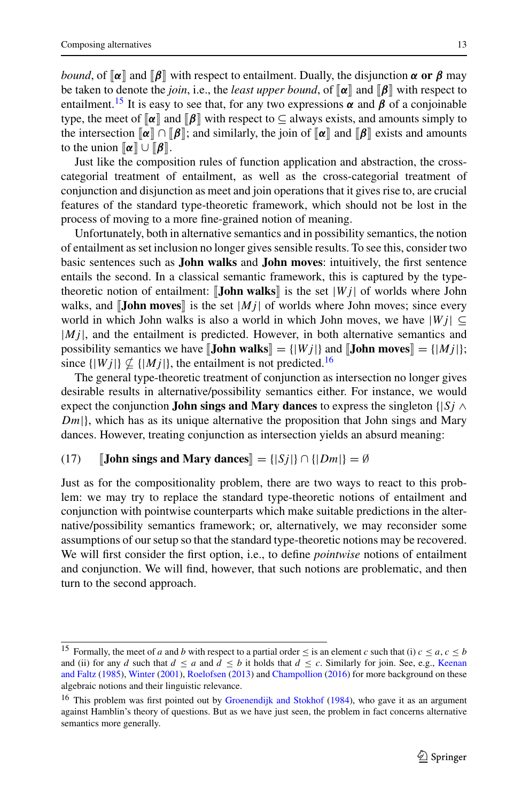*bound*, of  $[\![\alpha]\!]$  and  $[\![\beta]\!]$  with respect to entailment. Dually, the disjunction **α or**  $\beta$  may be taken to denote the *join*, i.e., the *least upper bound*, of  $[\![\boldsymbol{\alpha}]\!]$  and  $[\![\boldsymbol{\beta}]\!]$  with respect to entailment.<sup>15</sup> It is easy to see that, for any two expressions  $\alpha$  and  $\beta$  of a conjoinable type, the meet of  $[\![\alpha]\!]$  and  $[\![\beta]\!]$  with respect to  $\subseteq$  always exists, and amounts simply to the intersection  $[\![\alpha]\!] \cap [\![\beta]\!]$ ; and similarly, the join of  $[\![\alpha]\!]$  and  $[\![\beta]\!]$  exists and amounts to the union  $[\![\alpha]\!] \cup [\![\beta]\!]$ .

Just like the composition rules of function application and abstraction, the crosscategorial treatment of entailment, as well as the cross-categorial treatment of conjunction and disjunction as meet and join operations that it gives rise to, are crucial features of the standard type-theoretic framework, which should not be lost in the process of moving to a more fine-grained notion of meaning.

Unfortunately, both in alternative semantics and in possibility semantics, the notion of entailment as set inclusion no longer gives sensible results. To see this, consider two basic sentences such as **John walks** and **John moves**: intuitively, the first sentence entails the second. In a classical semantic framework, this is captured by the typetheoretic notion of entailment:  $\llbracket \textbf{John walks} \rrbracket$  is the set  $|Wj|$  of worlds where John walks, and  $\llbracket$ **John moves** $\rrbracket$  is the set  $|Mj|$  of worlds where John moves; since every world in which John walks is also a world in which John moves, we have  $|Wj| \subseteq$  $|Mj|$ , and the entailment is predicted. However, in both alternative semantics and possibility semantics we have  $\llbracket \textbf{John walks} \rrbracket = \{ |Wj| \}$  and  $\llbracket \textbf{John moves} \rrbracket = \{ |Mj| \};$ since  $\{|Wj|\} \nsubseteq \{|Mj|\}$ , the entailment is not predicted.<sup>16</sup>

The general type-theoretic treatment of conjunction as intersection no longer gives desirable results in alternative/possibility semantics either. For instance, we would expect the conjunction **John sings and Mary dances** to express the singleton  $\{ |S_j \wedge \mathbf{z}| \leq j \}$ *Dm*|}, which has as its unique alternative the proposition that John sings and Mary dances. However, treating conjunction as intersection yields an absurd meaning:

#### $(17)$  $|\textbf{John sings}$  and Mary dances $| = { |Sj| } \cap { |Dm| } = \emptyset$

Just as for the compositionality problem, there are two ways to react to this problem: we may try to replace the standard type-theoretic notions of entailment and conjunction with pointwise counterparts which make suitable predictions in the alternative/possibility semantics framework; or, alternatively, we may reconsider some assumptions of our setup so that the standard type-theoretic notions may be recovered. We will first consider the first option, i.e., to define *pointwise* notions of entailment and conjunction. We will find, however, that such notions are problematic, and then turn to the second approach.

<span id="page-13-0"></span><sup>&</sup>lt;sup>15</sup> Formally, the meet of *a* and *b* with respect to a partial order  $\leq$  is an element *c* such that (i)  $c \leq a, c \leq b$ and (ii) [for](#page-35-19) any *d* such that  $d \le a$  and  $d \le b$  it holds that  $d \le c$ [.](#page-35-19) [Similarly](#page-35-19) for [join.](#page-35-19) [See,](#page-35-19) [e.g.,](#page-35-19) Keenan and Faltz [\(1985](#page-35-19)), [Winter](#page-36-5) [\(2001](#page-36-5)), [Roelofsen](#page-35-20) [\(2013](#page-35-20)) and [Champollion](#page-34-5) [\(2016](#page-34-5)) for more background on these algebraic notions and their linguistic relevance.

<span id="page-13-1"></span><sup>&</sup>lt;sup>16</sup> This problem was first pointed out by [Groenendijk and Stokhof](#page-35-21) [\(1984](#page-35-21)), who gave it as an argument against Hamblin's theory of questions. But as we have just seen, the problem in fact concerns alternative semantics more generally.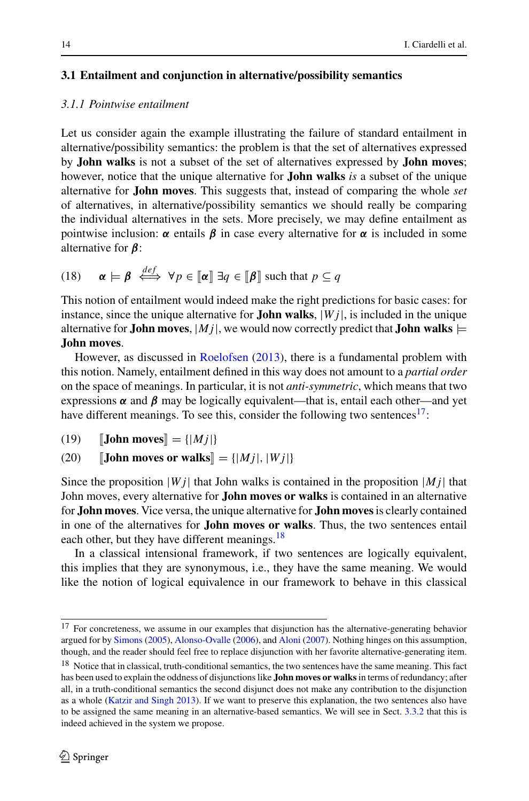### <span id="page-14-2"></span>**3.1 Entailment and conjunction in alternative/possibility semantics**

### *3.1.1 Pointwise entailment*

Let us consider again the example illustrating the failure of standard entailment in alternative/possibility semantics: the problem is that the set of alternatives expressed by **John walks** is not a subset of the set of alternatives expressed by **John moves**; however, notice that the unique alternative for **John walks** *is* a subset of the unique alternative for **John moves**. This suggests that, instead of comparing the whole *set* of alternatives, in alternative/possibility semantics we should really be comparing the individual alternatives in the sets. More precisely, we may define entailment as pointwise inclusion:  $\alpha$  entails  $\beta$  in case every alternative for  $\alpha$  is included in some alternative for *β*:

(18) 
$$
\boldsymbol{\alpha} \models \boldsymbol{\beta} \stackrel{def}{\iff} \forall p \in [\![ \boldsymbol{\alpha} ]\!] \exists q \in [\![ \boldsymbol{\beta} ]\!]
$$
 such that  $p \subseteq q$ 

This notion of entailment would indeed make the right predictions for basic cases: for instance, since the unique alternative for **John walks**,  $|Wj|$ , is included in the unique alternative for **John moves**,  $|Mj|$ , we would now correctly predict that **John walks**  $\models$ **John moves**.

However, as discussed in [Roelofsen](#page-35-20) [\(2013\)](#page-35-20), there is a fundamental problem with this notion. Namely, entailment defined in this way does not amount to a *partial order* on the space of meanings. In particular, it is not *anti-symmetric*, which means that two expressions  $\alpha$  and  $\beta$  may be logically equivalent—that is, entail each other—and yet have different meanings. To see this, consider the following two sentences $^{17}$  $^{17}$  $^{17}$ :

(19) 
$$
\llbracket \textbf{John moves} \rrbracket = \{|Mj|\}
$$

 $(20)$  $[\mathbf{John}$  moves or walks $] = \{ |Mj|, |Wj| \}$ 

Since the proposition  $|W_i|$  that John walks is contained in the proposition  $|M_i|$  that John moves, every alternative for **John moves or walks** is contained in an alternative for **John moves**. Vice versa, the unique alternative for **John moves**is clearly contained in one of the alternatives for **John moves or walks**. Thus, the two sentences entail each other, but they have different meanings.<sup>[18](#page-14-1)</sup>

In a classical intensional framework, if two sentences are logically equivalent, this implies that they are synonymous, i.e., they have the same meaning. We would like the notion of logical equivalence in our framework to behave in this classical

<span id="page-14-0"></span><sup>&</sup>lt;sup>17</sup> For concreteness, we assume in our examples that disjunction has the alternative-generating behavior argued for by [Simons](#page-36-1) [\(2005\)](#page-36-1), [Alonso-Ovalle](#page-34-2) [\(2006](#page-34-2)), and [Aloni](#page-34-1) [\(2007](#page-34-1)). Nothing hinges on this assumption, though, and the reader should feel free to replace disjunction with her favorite alternative-generating item.

<span id="page-14-1"></span><sup>&</sup>lt;sup>18</sup> Notice that in classical, truth-conditional semantics, the two sentences have the same meaning. This fact has been used to explain the oddness of disjunctions like **John moves or walks**in terms of redundancy; after all, in a truth-conditional semantics the second disjunct does not make any contribution to the disjunction as a whole [\(Katzir and Singh 2013\)](#page-35-22). If we want to preserve this explanation, the two sentences also have to be assigned the same meaning in an alternative-based semantics. We will see in Sect. [3.3.2](#page-20-0) that this is indeed achieved in the system we propose.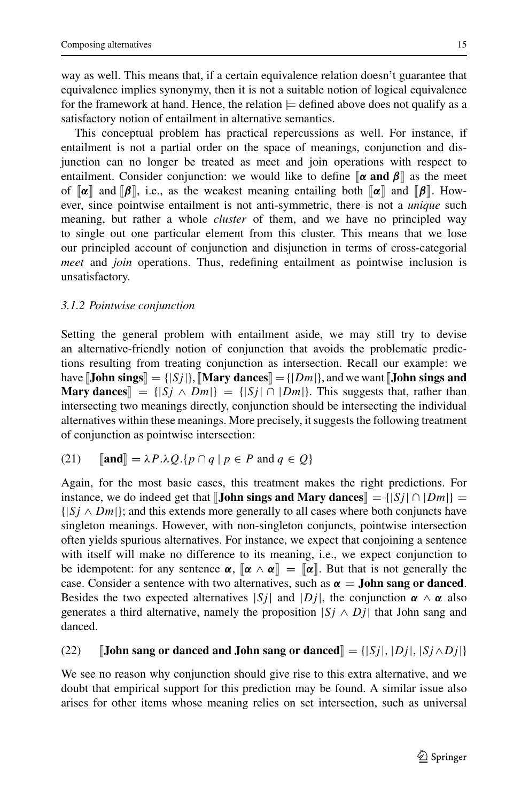way as well. This means that, if a certain equivalence relation doesn't guarantee that equivalence implies synonymy, then it is not a suitable notion of logical equivalence for the framework at hand. Hence, the relation  $\models$  defined above does not qualify as a satisfactory notion of entailment in alternative semantics.

This conceptual problem has practical repercussions as well. For instance, if entailment is not a partial order on the space of meanings, conjunction and disjunction can no longer be treated as meet and join operations with respect to entailment. Consider conjunction: we would like to define  $[\alpha \text{ and } \beta]$  as the meet of  $[\alpha]$  and  $[\beta]$ , i.e., as the weakest meaning entailing both  $[\alpha]$  and  $[\beta]$ . However, since pointwise entailment is not anti-symmetric, there is not a *unique* such meaning, but rather a whole *cluster* of them, and we have no principled way to single out one particular element from this cluster. This means that we lose our principled account of conjunction and disjunction in terms of cross-categorial *meet* and *join* operations. Thus, redefining entailment as pointwise inclusion is unsatisfactory.

### *3.1.2 Pointwise conjunction*

Setting the general problem with entailment aside, we may still try to devise an alternative-friendly notion of conjunction that avoids the problematic predictions resulting from treating conjunction as intersection. Recall our example: we have  $[\textbf{John signs}] = \{ |Sj| \}, [\textbf{Mary dances}] = \{ |Dm| \}, \text{and we want } [\textbf{John signs and}$ **Mary dances**  $= { |S_j \wedge Dm| } = { |S_j| \cap |Dm| }$ . This suggests that, rather than intersecting two meanings directly, conjunction should be intersecting the individual alternatives within these meanings. More precisely, it suggests the following treatment of conjunction as pointwise intersection:

(21) 
$$
\llbracket \text{and} \rrbracket = \lambda P \cdot \lambda Q \cdot \{ p \cap q \mid p \in P \text{ and } q \in Q \}
$$

Again, for the most basic cases, this treatment makes the right predictions. For instance, we do indeed get that  $[\text{John sings and Mary dances}] = { |Sj| \cap |Dm| } =$  $\{|Sj \wedge Dm|\}$ ; and this extends more generally to all cases where both conjuncts have singleton meanings. However, with non-singleton conjuncts, pointwise intersection often yields spurious alternatives. For instance, we expect that conjoining a sentence with itself will make no difference to its meaning, i.e., we expect conjunction to be idempotent: for any sentence  $\alpha$ ,  $[\alpha \wedge \alpha] = [\alpha]$ . But that is not generally the case. Consider a sentence with two alternatives, such as  $\alpha =$  **John sang or danced**. Besides the two expected alternatives  $|S_j|$  and  $|D_j|$ , the conjunction  $\alpha \wedge \alpha$  also generates a third alternative, namely the proposition  $|Sj \wedge Dj|$  that John sang and danced.

#### $(22)$  $\llbracket$ **John sang or danced and John sang or danced**  $\llbracket = \{ |Sj|, |Dj|, |Sj \wedge Dj| \}$

We see no reason why conjunction should give rise to this extra alternative, and we doubt that empirical support for this prediction may be found. A similar issue also arises for other items whose meaning relies on set intersection, such as universal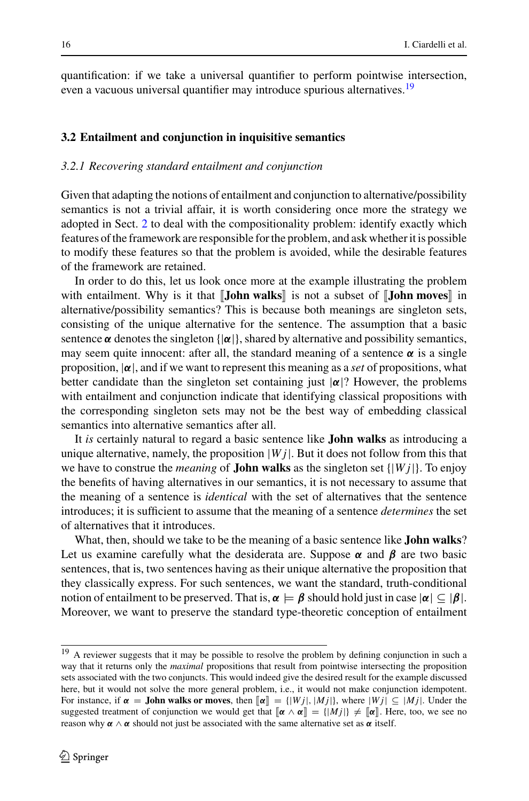quantification: if we take a universal quantifier to perform pointwise intersection, even a vacuous universal quantifier may introduce spurious alternatives.<sup>[19](#page-16-0)</sup>

### **3.2 Entailment and conjunction in inquisitive semantics**

### *3.2.1 Recovering standard entailment and conjunction*

Given that adapting the notions of entailment and conjunction to alternative/possibility semantics is not a trivial affair, it is worth considering once more the strategy we adopted in Sect. [2](#page-3-1) to deal with the compositionality problem: identify exactly which features of the framework are responsible for the problem, and ask whether it is possible to modify these features so that the problem is avoided, while the desirable features of the framework are retained.

In order to do this, let us look once more at the example illustrating the problem with entailment. Why is it that **||John walks**|| is not a subset of **||John moves**|| in alternative/possibility semantics? This is because both meanings are singleton sets, consisting of the unique alternative for the sentence. The assumption that a basic sentence  $\alpha$  denotes the singleton  $\{|\alpha|\}$ , shared by alternative and possibility semantics, may seem quite innocent: after all, the standard meaning of a sentence  $\alpha$  is a single proposition,  $|\alpha|$ , and if we want to represent this meaning as a *set* of propositions, what better candidate than the singleton set containing just  $|\alpha|$ ? However, the problems with entailment and conjunction indicate that identifying classical propositions with the corresponding singleton sets may not be the best way of embedding classical semantics into alternative semantics after all.

It *is* certainly natural to regard a basic sentence like **John walks** as introducing a unique alternative, namely, the proposition  $|Wj|$ . But it does not follow from this that we have to construe the *meaning* of **John walks** as the singleton set  $\{|Wj|\}$ . To enjoy the benefits of having alternatives in our semantics, it is not necessary to assume that the meaning of a sentence is *identical* with the set of alternatives that the sentence introduces; it is sufficient to assume that the meaning of a sentence *determines* the set of alternatives that it introduces.

What, then, should we take to be the meaning of a basic sentence like **John walks**? Let us examine carefully what the desiderata are. Suppose *α* and *β* are two basic sentences, that is, two sentences having as their unique alternative the proposition that they classically express. For such sentences, we want the standard, truth-conditional notion of entailment to be preserved. That is,  $\alpha \models \beta$  should hold just in case  $|\alpha| \subseteq |\beta|$ . Moreover, we want to preserve the standard type-theoretic conception of entailment

<span id="page-16-0"></span><sup>&</sup>lt;sup>19</sup> A reviewer suggests that it may be possible to resolve the problem by defining conjunction in such a way that it returns only the *maximal* propositions that result from pointwise intersecting the proposition sets associated with the two conjuncts. This would indeed give the desired result for the example discussed here, but it would not solve the more general problem, i.e., it would not make conjunction idempotent. For instance, if  $\alpha =$  **John walks or moves**, then  $[\![\alpha]\!] = { |Wj|, |Mj| },$  where  $|Wj| \subseteq |Mj|$ . Under the suggested treatment of conjunction we would get that  $[\![ \alpha \wedge \alpha ]\!] = \{ |Mj| \} \neq [\![ \alpha ]\!]$ . Here, too, we see no reason why  $\alpha \wedge \alpha$  should not just be associated with the same alternative set as  $\alpha$  itself.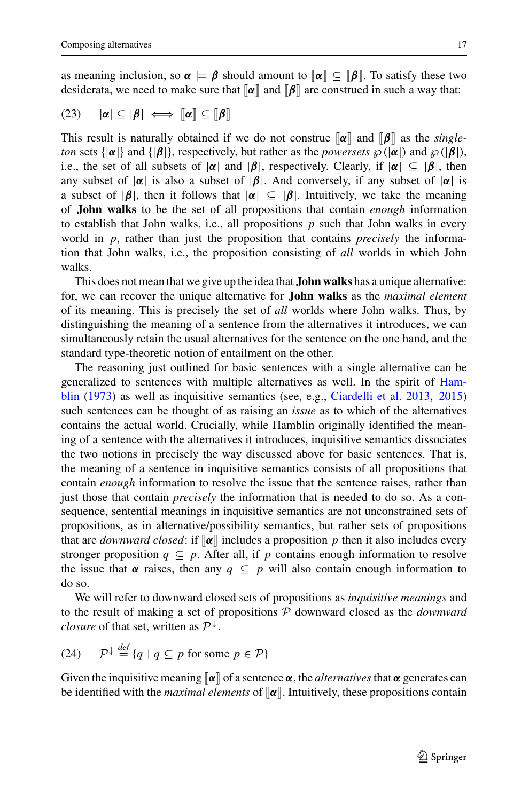as meaning inclusion, so  $\alpha \models \beta$  should amount to  $\llbracket \alpha \rrbracket \subseteq \llbracket \beta \rrbracket$ . To satisfy these two desiderata, we need to make sure that  $\llbracket \pmb{\alpha} \rrbracket$  and  $\llbracket \pmb{\beta} \rrbracket$  are construed in such a way that:

(23) 
$$
|\boldsymbol{\alpha}| \subseteq |\boldsymbol{\beta}| \iff [\![\boldsymbol{\alpha}]\!] \subseteq [\![\boldsymbol{\beta}]\!]
$$

This result is naturally obtained if we do not construe  $[\alpha]$  and  $[\beta]$  as the *singleton* sets  $\{|\alpha|\}$  and  $\{|\beta|\}$ , respectively, but rather as the *powersets*  $\wp(|\alpha|)$  and  $\wp(|\beta|)$ , i.e., the set of all subsets of  $|\alpha|$  and  $|\beta|$ , respectively. Clearly, if  $|\alpha| \subseteq |\beta|$ , then any subset of  $|\alpha|$  is also a subset of  $|\beta|$ . And conversely, if any subset of  $|\alpha|$  is a subset of  $|\beta|$ , then it follows that  $|\alpha| \subseteq |\beta|$ . Intuitively, we take the meaning of **John walks** to be the set of all propositions that contain *enough* information to establish that John walks, i.e., all propositions *p* such that John walks in every world in *p*, rather than just the proposition that contains *precisely* the information that John walks, i.e., the proposition consisting of *all* worlds in which John walks.

This does not mean that we give up the idea that **John walks** has a unique alternative: for, we can recover the unique alternative for **John walks** as the *maximal element* of its meaning. This is precisely the set of *all* worlds where John walks. Thus, by distinguishing the meaning of a sentence from the alternatives it introduces, we can simultaneously retain the usual alternatives for the sentence on the one hand, and the standard type-theoretic notion of entailment on the other.

The reasoning just outlined for basic sentences with a single alternative can be gen[eralized](#page-35-2) [to](#page-35-2) [sentences](#page-35-2) [with](#page-35-2) [multiple](#page-35-2) [alternatives](#page-35-2) [as](#page-35-2) [well.](#page-35-2) [In](#page-35-2) [the](#page-35-2) [spirit](#page-35-2) [of](#page-35-2) Hamblin [\(1973](#page-35-2)) as well as inquisitive semantics (see, e.g., [Ciardelli et al. 2013](#page-35-7), [2015\)](#page-35-8) such sentences can be thought of as raising an *issue* as to which of the alternatives contains the actual world. Crucially, while Hamblin originally identified the meaning of a sentence with the alternatives it introduces, inquisitive semantics dissociates the two notions in precisely the way discussed above for basic sentences. That is, the meaning of a sentence in inquisitive semantics consists of all propositions that contain *enough* information to resolve the issue that the sentence raises, rather than just those that contain *precisely* the information that is needed to do so. As a consequence, sentential meanings in inquisitive semantics are not unconstrained sets of propositions, as in alternative/possibility semantics, but rather sets of propositions that are *downward closed*: if [**α**] includes a proposition *p* then it also includes every stronger proposition  $q \subseteq p$ . After all, if p contains enough information to resolve the issue that  $\alpha$  raises, then any  $q \subseteq p$  will also contain enough information to do so.

We will refer to downward closed sets of propositions as *inquisitive meanings* and to the result of making a set of propositions P downward closed as the *downward closure* of that set, written as  $\mathcal{P}^{\downarrow}$ .

(24) 
$$
\mathcal{P}^{\downarrow} \stackrel{\text{def}}{=} \{q \mid q \subseteq p \text{ for some } p \in \mathcal{P}\}\
$$

Given the inquisitive meaning  $\llbracket \alpha \rrbracket$  of a sentence  $\alpha$ , the *alternatives* that  $\alpha$  generates can be identified with the *maximal elements* of  $\llbracket \boldsymbol{\alpha} \rrbracket$ . Intuitively, these propositions contain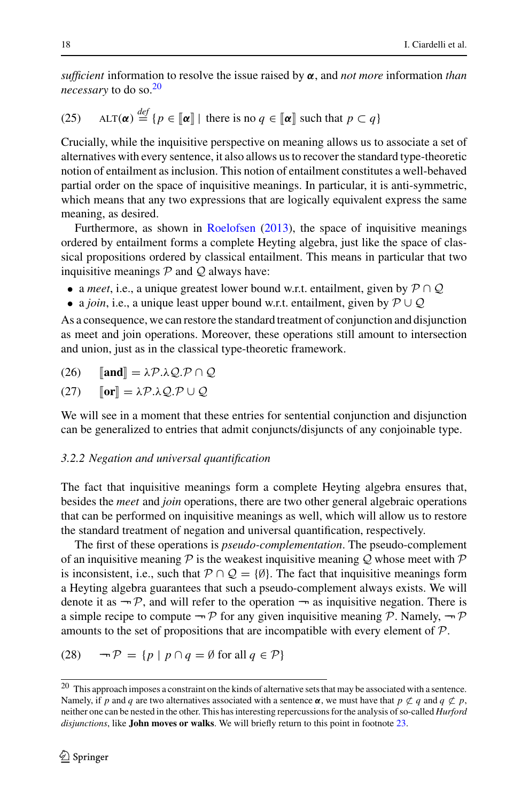*sufficient* information to resolve the issue raised by *α*, and *not more* information *than necessary* to do so.[20](#page-18-0)

(25) 
$$
\text{ALT}(\boldsymbol{\alpha}) \stackrel{def}{=} \{ p \in [\![\boldsymbol{\alpha}]\!] \mid \text{there is no } q \in [\![\boldsymbol{\alpha}]\!] \text{ such that } p \subset q \}
$$

Crucially, while the inquisitive perspective on meaning allows us to associate a set of alternatives with every sentence, it also allows us to recover the standard type-theoretic notion of entailment as inclusion. This notion of entailment constitutes a well-behaved partial order on the space of inquisitive meanings. In particular, it is anti-symmetric, which means that any two expressions that are logically equivalent express the same meaning, as desired.

Furthermore, as shown in [Roelofsen](#page-35-20) [\(2013\)](#page-35-20), the space of inquisitive meanings ordered by entailment forms a complete Heyting algebra, just like the space of classical propositions ordered by classical entailment. This means in particular that two inquisitive meanings  $P$  and  $Q$  always have:

- a *meet*, i.e., a unique greatest lower bound w.r.t. entailment, given by  $P \cap Q$
- a *join*, i.e., a unique least upper bound w.r.t. entailment, given by  $\mathcal{P} \cup \mathcal{Q}$

As a consequence, we can restore the standard treatment of conjunction and disjunction as meet and join operations. Moreover, these operations still amount to intersection and union, just as in the classical type-theoretic framework.

(26) 
$$
\[\text{and}\] = \lambda \mathcal{P} \cdot \lambda \mathcal{Q} \cdot \mathcal{P} \cap \mathcal{Q}
$$

$$
(27) \qquad [\mathbf{or}] = \lambda \mathcal{P} \cdot \lambda \mathcal{Q} \cdot \mathcal{P} \cup \mathcal{Q}
$$

We will see in a moment that these entries for sentential conjunction and disjunction can be generalized to entries that admit conjuncts/disjuncts of any conjoinable type.

### *3.2.2 Negation and universal quantification*

The fact that inquisitive meanings form a complete Heyting algebra ensures that, besides the *meet* and *join* operations, there are two other general algebraic operations that can be performed on inquisitive meanings as well, which will allow us to restore the standard treatment of negation and universal quantification, respectively.

The first of these operations is *pseudo-complementation*. The pseudo-complement of an inquisitive meaning  $P$  is the weakest inquisitive meaning  $Q$  whose meet with  $P$ is inconsistent, i.e., such that  $P \cap Q = \{\emptyset\}$ . The fact that inquisitive meanings form a Heyting algebra guarantees that such a pseudo-complement always exists. We will denote it as  $\neg \mathcal{P}$ , and will refer to the operation  $\neg$  as inquisitive negation. There is a simple recipe to compute  $\neg \mathcal{P}$  for any given inquisitive meaning  $\mathcal{P}$ . Namely,  $\neg \mathcal{P}$ amounts to the set of propositions that are incompatible with every element of  $P$ .

(28) 
$$
\neg \mathcal{P} = \{ p \mid p \cap q = \emptyset \text{ for all } q \in \mathcal{P} \}
$$

<span id="page-18-0"></span> $20$  This approach imposes a constraint on the kinds of alternative sets that may be associated with a sentence. Namely, if *p* and *q* are two alternatives associated with a sentence  $\alpha$ , we must have that  $p \not\subset q$  and  $q \not\subset p$ , neither one can be nested in the other. This has interesting repercussions for the analysis of so-called *Hurford disjunctions*, like **John moves or walks**. We will briefly return to this point in footnote [23.](#page-21-0)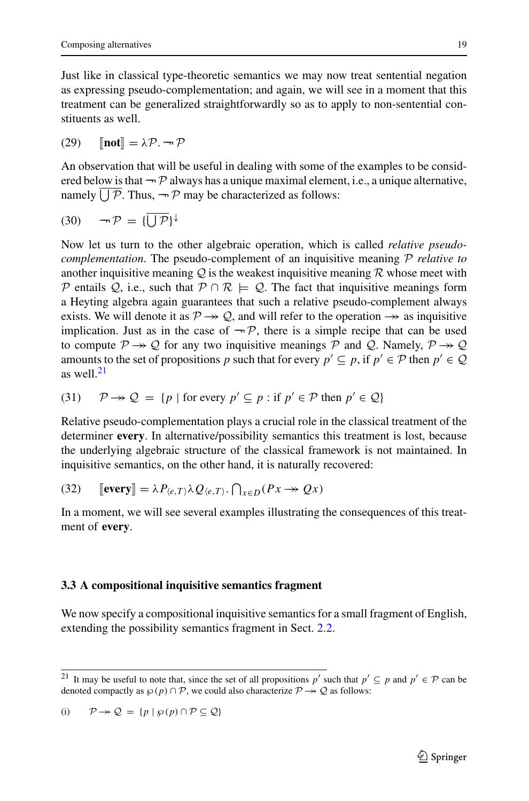Just like in classical type-theoretic semantics we may now treat sentential negation as expressing pseudo-complementation; and again, we will see in a moment that this treatment can be generalized straightforwardly so as to apply to non-sentential constituents as well.

$$
(29) \qquad [\textbf{not}] = \lambda \mathcal{P} \cdot \neg \neg \mathcal{P}
$$

An observation that will be useful in dealing with some of the examples to be considered below is that  $\neg \mathcal{P}$  always has a unique maximal element, i.e., a unique alternative, namely  $\vert \cdot \vert \mathcal{P}$ . Thus,  $\neg \mathcal{P}$  may be characterized as follows:

$$
(30) \quad \neg \mathcal{P} = \{ \overline{\bigcup \mathcal{P}} \}^{\downarrow}
$$

Now let us turn to the other algebraic operation, which is called *relative pseudocomplementation*. The pseudo-complement of an inquisitive meaning P *relative to* another inquisitive meaning Q is the weakest inquisitive meaning  $\mathcal R$  whose meet with P entails Q, i.e., such that  $P \cap \mathcal{R} \models Q$ . The fact that inquisitive meanings form a Heyting algebra again guarantees that such a relative pseudo-complement always exists. We will denote it as  $\mathcal{P} \rightarrow \mathcal{Q}$ , and will refer to the operation  $\rightarrow \mathcal{P}$  as inquisitive implication. Just as in the case of  $\neg \mathcal{P}$ , there is a simple recipe that can be used to compute  $\mathcal{P} \rightarrow \mathcal{Q}$  for any two inquisitive meanings  $\mathcal{P}$  and  $\mathcal{Q}$ . Namely,  $\mathcal{P} \rightarrow \mathcal{Q}$ amounts to the set of propositions *p* such that for every  $p' \subseteq p$ , if  $p' \in \mathcal{P}$  then  $p' \in \mathcal{Q}$ as well. $21$ 

(31) 
$$
\mathcal{P} \rightarrow \mathcal{Q} = \{p \mid \text{for every } p' \subseteq p : \text{if } p' \in \mathcal{P} \text{ then } p' \in \mathcal{Q}\}\
$$

Relative pseudo-complementation plays a crucial role in the classical treatment of the determiner **every**. In alternative/possibility semantics this treatment is lost, because the underlying algebraic structure of the classical framework is not maintained. In inquisitive semantics, on the other hand, it is naturally recovered:

$$
(32) \quad \left[ \text{every} \right] = \lambda P_{\langle e, T \rangle} \lambda Q_{\langle e, T \rangle} \cdot \bigcap_{x \in D} (Px \to Qx)
$$

In a moment, we will see several examples illustrating the consequences of this treatment of **every**.

### **3.3 A compositional inquisitive semantics fragment**

We now specify a compositional inquisitive semantics for a small fragment of English, extending the possibility semantics fragment in Sect. [2.2.](#page-6-1)

```
(i) \mathcal{P} \rightarrow \mathcal{Q} = \{p \mid \wp(p) \cap \mathcal{P} \subseteq \mathcal{Q}\}\
```
<span id="page-19-0"></span><sup>&</sup>lt;sup>21</sup> It may be useful to note that, since the set of all propositions  $p'$  such that  $p' \subseteq p$  and  $p' \in \mathcal{P}$  can be denoted compactly as  $\wp(p) \cap \mathcal{P}$ , we could also characterize  $\mathcal{P} \rightarrow \mathcal{Q}$  as follows: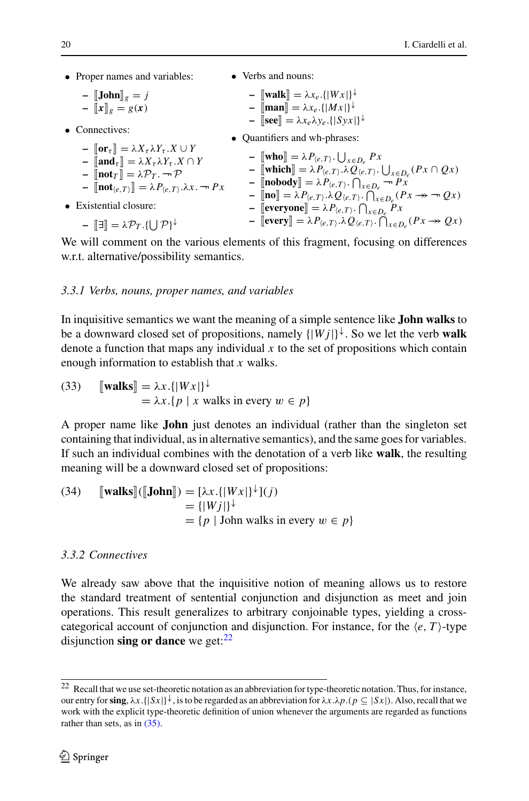• Proper names and variables:

| $\mathbf{-}\left[\mathbf{John}\right]_g = j$ |  |
|----------------------------------------------|--|
| $-[[x]]_g = g(x)$                            |  |

- Connectives:
	- $\left[\int \mathbf{or}_{\tau} \right] = \lambda X_{\tau} \lambda Y_{\tau} . X \cup Y$
	- $\left[\text{and}_{\tau}\right] = \lambda X_{\tau} \lambda Y_{\tau}$ .*X*  $\cap Y$

$$
-\lfloor \operatorname{not}_T \rfloor = \lambda \mathcal{P}_T \cdot \neg \mathcal{P}
$$
  
 
$$
\lceil \operatorname{not}_{\lambda} \rceil - \lambda \mathcal{P}_{\lambda} \cdot \neg \lambda \times \neg \mathcal{P}_{\lambda}
$$

- $\left[\text{not}_{\langle e, T\rangle}\right] = \lambda P_{\langle e, T\rangle} \cdot \lambda x \cdot \neg P x$
- Existential closure:
	- $[\exists] = \lambda \mathcal{P}_T . \{\bigcup \mathcal{P}\}^{\downarrow}$

 $\left[\text{walk}\right] = \lambda x_e$ .{ $|Wx|\}$ <sup>↓</sup>  $\left[\max_{\pi} \right] = \lambda x_e$ .{ $|M x|$ }<sup>↓</sup>  $\left[\text{see}\right] = \lambda x_e \lambda y_e$ .{ $|Syx|\}$ <sup> $\downarrow$ </sup> • Quantifiers and wh-phrases:  $\left[\begin{array}{c}\mathbf{who}\end{array}\right] = \lambda P_{\langle e,T\rangle}$ .  $\bigcup_{x \in D_e} P_x$  $-\left[\text{which}\right] = \lambda P_{\langle e,T\rangle} \cdot \lambda Q_{\langle e,T\rangle} \cdot \bigcup_{x \in D_e} (Px \cap Qx)$  $\left[\text{nobody}\right] = \lambda P_{\langle e, T \rangle} \cdot \bigcap_{x \in D_e} - P x$  $-\[\mathbf{no}\] = \lambda P_{(e,T)} \cdot \lambda Q_{(e,T)} \cdot \bigcap_{x \in D_e} (Px \rightarrow \neg Qx)$  $\begin{bmatrix} \mathbf{a} \end{bmatrix} = \begin{bmatrix} x \mathbf{i} \end{bmatrix} \begin{bmatrix} e, \mathbf{i} \end{bmatrix} \cdot \begin{bmatrix} x \mathbf{j} \end{bmatrix}$ .<br>  $\mathbf{a} \in \mathbb{R}$  **everyone**  $\mathbf{b} = \lambda P_{(e,T)} \cdot \bigcap_{x \in D_e} P_x$ 

 $\left[ \text{every} \right] = \lambda P_{\langle e, T \rangle} \cdot \lambda Q_{\langle e, T \rangle} \cdot \bigcap_{x \in D_e} (Px \rightarrow Qx)$ 

We will comment on the various elements of this fragment, focusing on differences w.r.t. alternative/possibility semantics.

• Verbs and nouns:

### *3.3.1 Verbs, nouns, proper names, and variables*

In inquisitive semantics we want the meaning of a simple sentence like **John walks** to be a downward closed set of propositions, namely {|*W j*|}↓. So we let the verb **walk** denote a function that maps any individual  $x$  to the set of propositions which contain enough information to establish that *x* walks.

(33) 
$$
\begin{aligned} \llbracket \mathbf{walks} \rrbracket &= \lambda x. \{ |Wx| \}^{\downarrow} \\ &= \lambda x. \{ p \mid x \text{ walks in every } w \in p \} \end{aligned}
$$

A proper name like **John** just denotes an individual (rather than the singleton set containing that individual, as in alternative semantics), and the same goes for variables. If such an individual combines with the denotation of a verb like **walk**, the resulting meaning will be a downward closed set of propositions:

(34) 
$$
\begin{aligned} [\textbf{walks}](\llbracket \textbf{John} \rrbracket) &= [\lambda x. \{ |Wx| \}^{\downarrow}](j) \\ &= \{ |Wj| \}^{\downarrow} \\ &= \{ p \mid \textbf{John walks in every } w \in p \} \end{aligned}
$$

### <span id="page-20-0"></span>*3.3.2 Connectives*

We already saw above that the inquisitive notion of meaning allows us to restore the standard treatment of sentential conjunction and disjunction as meet and join operations. This result generalizes to arbitrary conjoinable types, yielding a crosscategorical account of conjunction and disjunction. For instance, for the  $\langle e, T \rangle$ -type disjunction **sing or dance** we get: $^{22}$  $^{22}$  $^{22}$ 

<span id="page-20-2"></span><span id="page-20-1"></span><sup>&</sup>lt;sup>22</sup> Recall that we use set-theoretic notation as an abbreviation for type-theoretic notation. Thus, for instance, our entry for **sing**,  $\lambda x$ .{ $|Sx|\}$ <sup> $\downarrow$ </sup>, is to be regarded as an abbreviation for  $\lambda x.\lambda p$ .( $p \in |Sx|$ ). Also, recall that we work with the explicit type-theoretic definition of union whenever the arguments are regarded as functions rather than sets, as in [\(35\).](#page-20-2)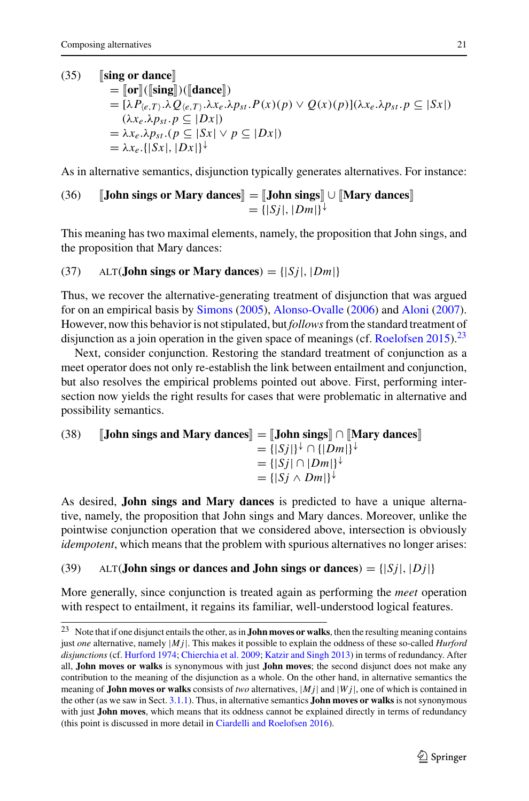#### $(35)$ **sing or dance**

$$
\begin{aligned}\n&= [\![\mathbf{or}\!] \cdot ([[\mathbf{sing}]) \cdot ([[\mathbf{dance}]]) \\
&= [\lambda P_{\langle e, T \rangle} \cdot \lambda Q_{\langle e, T \rangle} \cdot \lambda x_e \cdot \lambda p_{st} \cdot P(x)(p) \vee Q(x)(p)] (\lambda x_e \cdot \lambda p_{st} \cdot p \subseteq |Sx|) \\
&= \lambda x_e \cdot \lambda p_{st} \cdot (p \subseteq |Sx|) \\
&= \lambda x_e \cdot \lambda p_{st} \cdot (p \subseteq |Sx| \vee p \subseteq |Dx|) \\
&= \lambda x_e \cdot \{|Sx|, |Dx|\}^{\downarrow}\n\end{aligned}
$$

As in alternative semantics, disjunction typically generates alternatives. For instance:

#### $(36)$  $\textbf{John sings or Mary dances} = \llbracket \textbf{John sings} \rrbracket \cup \llbracket \textbf{Mary dances} \rrbracket$  $= \{|Sj|, |Dm|\}^{\downarrow}$

This meaning has two maximal elements, namely, the proposition that John sings, and the proposition that Mary dances:

### (37) ALT(**John sings or Mary dances**) =  $\{ |Sj|, |Dm| \}$

Thus, we recover the alternative-generating treatment of disjunction that was argued for on an empirical basis by [Simons](#page-36-1) [\(2005](#page-36-1)), [Alonso-Ovalle](#page-34-2) [\(2006](#page-34-2)) and [Aloni](#page-34-1) [\(2007](#page-34-1)). However, now this behavior is not stipulated, but *follows*from the standard treatment of disjunction as a join operation in the given space of meanings (cf. [Roelofsen 2015](#page-35-23)).<sup>[23](#page-21-0)</sup>

Next, consider conjunction. Restoring the standard treatment of conjunction as a meet operator does not only re-establish the link between entailment and conjunction, but also resolves the empirical problems pointed out above. First, performing intersection now yields the right results for cases that were problematic in alternative and possibility semantics.

(38) [John sings and Mary dances] = 
$$
\begin{aligned} \n\begin{aligned}\n &\text{[John sings]} \cap \text{[Mary dances]} \\
 &= \{ |Sj| \}^{\downarrow} \cap \{ |Dm| \}^{\downarrow} \\
 &= \{ |Sj| \cap |Dm| \}^{\downarrow} \\
 &= \{ |Sj \wedge Dm| \}^{\downarrow}\n \end{aligned}\n\end{aligned}
$$

As desired, **John sings and Mary dances** is predicted to have a unique alternative, namely, the proposition that John sings and Mary dances. Moreover, unlike the pointwise conjunction operation that we considered above, intersection is obviously *idempotent*, which means that the problem with spurious alternatives no longer arises:

### (39) ALT(**John sings or dances and John sings or dances**) =  $\{ |S_j|, |D_j| \}$

More generally, since conjunction is treated again as performing the *meet* operation with respect to entailment, it regains its familiar, well-understood logical features.

<span id="page-21-0"></span><sup>23</sup> Note that if one disjunct entails the other, as in **John moves or walks**, then the resulting meaning contains just *one* alternative, namely |*M j*|. This makes it possible to explain the oddness of these so-called *Hurford disjunctions* (cf. [Hurford 1974;](#page-35-24) [Chierchia et al. 2009](#page-34-6); [Katzir and Singh 2013](#page-35-22)) in terms of redundancy. After all, **John moves or walks** is synonymous with just **John moves**; the second disjunct does not make any contribution to the meaning of the disjunction as a whole. On the other hand, in alternative semantics the meaning of **John moves or walks** consists of *two* alternatives, |*M j*| and |*W j*|, one of which is contained in the other (as we saw in Sect. [3.1.1\)](#page-14-2). Thus, in alternative semantics **John moves or walks** is not synonymous with just **John moves**, which means that its oddness cannot be explained directly in terms of redundancy (this point is discussed in more detail in [Ciardelli and Roelofsen 2016](#page-34-7)).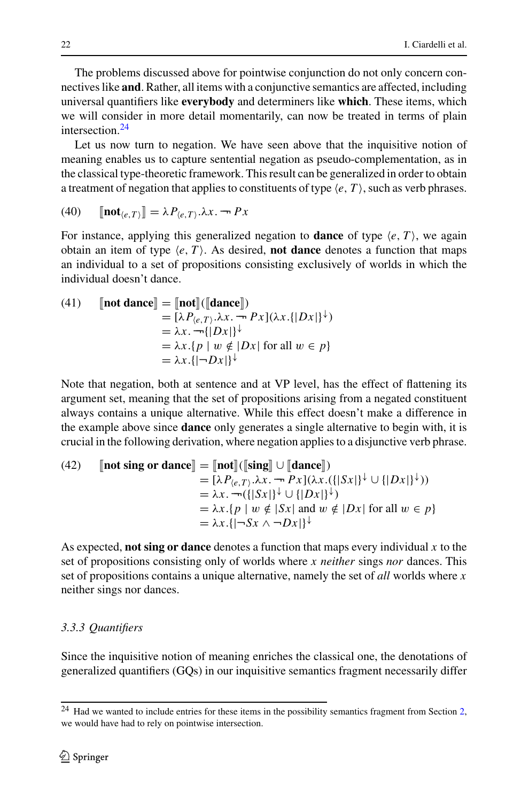The problems discussed above for pointwise conjunction do not only concern connectives like **and**. Rather, all items with a conjunctive semantics are affected, including universal quantifiers like **everybody** and determiners like **which**. These items, which we will consider in more detail momentarily, can now be treated in terms of plain intersection<sup>[24](#page-22-0)</sup>

Let us now turn to negation. We have seen above that the inquisitive notion of meaning enables us to capture sentential negation as pseudo-complementation, as in the classical type-theoretic framework. This result can be generalized in order to obtain a treatment of negation that applies to constituents of type  $\langle e, T \rangle$ , such as verb phrases.

(40) 
$$
\llbracket \mathbf{not}_{\langle e,T\rangle} \rrbracket = \lambda P_{\langle e,T\rangle}.\lambda x. \neg P x
$$

For instance, applying this generalized negation to **dance** of type  $\langle e, T \rangle$ , we again obtain an item of type  $\langle e, T \rangle$ . As desired, **not dance** denotes a function that maps an individual to a set of propositions consisting exclusively of worlds in which the individual doesn't dance.

(41) 
$$
\begin{aligned} \textbf{[not dance]} &= \llbracket \textbf{not} \rrbracket (\llbracket \textbf{dance} \rrbracket) \\ &= [\lambda P_{\langle e, T \rangle} . \lambda x. - P x ] (\lambda x. \{ |Dx| \}^{\downarrow}) \\ &= \lambda x. - \{ |Dx| \}^{\downarrow} \\ &= \lambda x. \{ p \mid w \notin |Dx| \text{ for all } w \in p \} \\ &= \lambda x. \{ |-\mathbf{D}x| \}^{\downarrow} \end{aligned}
$$

Note that negation, both at sentence and at VP level, has the effect of flattening its argument set, meaning that the set of propositions arising from a negated constituent always contains a unique alternative. While this effect doesn't make a difference in the example above since **dance** only generates a single alternative to begin with, it is crucial in the following derivation, where negation applies to a disjunctive verb phrase.

(42) [not sing or dance] = [not][([sing]] 
$$
\cup
$$
 [dance])  
\n= [ $\lambda P_{(e,T)}.\lambda x$ .  $\neg P_{X}](\lambda x.((|Sx|)^{\downarrow} \cup \{|Dx|\}^{\downarrow}))$   
\n=  $\lambda x$ .  $\neg ((|Sx|)^{\downarrow} \cup \{|Dx|\}^{\downarrow})$   
\n=  $\lambda x.\{p \mid w \notin |Sx| \text{ and } w \notin |Dx| \text{ for all } w \in p\}$   
\n=  $\lambda x. \{|\neg Sx \wedge \neg Dx|\}^{\downarrow}$ 

As expected, **not sing or dance** denotes a function that maps every individual *x* to the set of propositions consisting only of worlds where *x neither* sings *nor* dances. This set of propositions contains a unique alternative, namely the set of *all* worlds where *x* neither sings nor dances.

### *3.3.3 Quantifiers*

Since the inquisitive notion of meaning enriches the classical one, the denotations of generalized quantifiers (GQs) in our inquisitive semantics fragment necessarily differ

<span id="page-22-0"></span> $24$  Had we wanted to include entries for these items in the possibility semantics fragment from Section [2,](#page-3-1) we would have had to rely on pointwise intersection.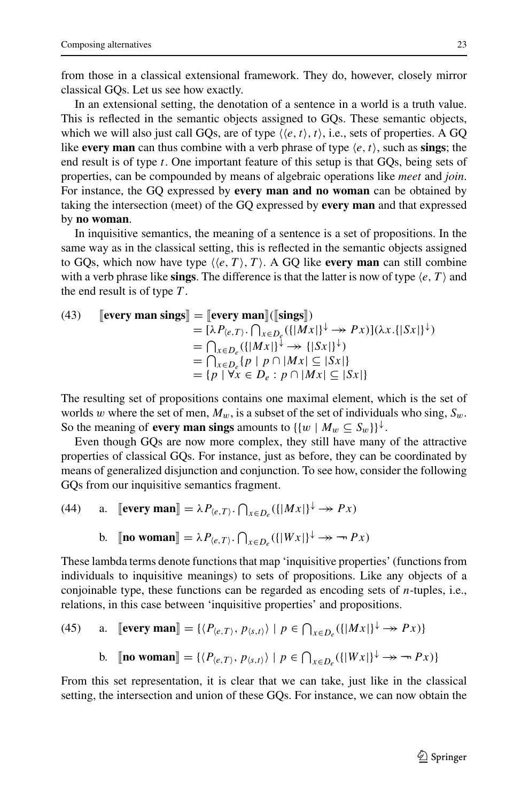from those in a classical extensional framework. They do, however, closely mirror classical GQs. Let us see how exactly.

In an extensional setting, the denotation of a sentence in a world is a truth value. This is reflected in the semantic objects assigned to GQs. These semantic objects, which we will also just call GQs, are of type  $\langle \langle e, t \rangle, t \rangle$ , i.e., sets of properties. A GQ like **every man** can thus combine with a verb phrase of type  $\langle e, t \rangle$ , such as **sings**; the end result is of type *t*. One important feature of this setup is that GQs, being sets of properties, can be compounded by means of algebraic operations like *meet* and *join*. For instance, the GQ expressed by **every man and no woman** can be obtained by taking the intersection (meet) of the GQ expressed by **every man** and that expressed by **no woman**.

In inquisitive semantics, the meaning of a sentence is a set of propositions. In the same way as in the classical setting, this is reflected in the semantic objects assigned to GQs, which now have type  $\langle \langle e, T \rangle, T \rangle$ . A GQ like **every man** can still combine with a verb phrase like **sings**. The difference is that the latter is now of type  $\langle e, T \rangle$  and the end result is of type *T* .

(43) 
$$
\begin{aligned}\n[\text{every man sings}] &= [\text{every man}]\([\text{sings}]) \\
&= [\lambda P_{(e,T)} \cdot \bigcap_{x \in D_e} (\{|Mx|\}^{\downarrow} \to Px)](\lambda x. \{|Sx|\}^{\downarrow}) \\
&= \bigcap_{x \in D_e} (\{|Mx|\}^{\downarrow} \to \{|Sx|\}^{\downarrow}) \\
&= \bigcap_{x \in D_e} \{p \mid p \cap |Mx| \subseteq |Sx|\} \\
&= \{p \mid \forall x \in D_e : p \cap |Mx| \subseteq |Sx|\}\n\end{aligned}
$$

The resulting set of propositions contains one maximal element, which is the set of worlds w where the set of men,  $M_w$ , is a subset of the set of individuals who sing,  $S_w$ . So the meaning of **every man sings** amounts to  $\{w \mid M_w \subseteq S_w\}$ .

Even though GQs are now more complex, they still have many of the attractive properties of classical GQs. For instance, just as before, they can be coordinated by means of generalized disjunction and conjunction. To see how, consider the following GQs from our inquisitive semantics fragment.

(44) a. 
$$
[\text{every man}] = \lambda P_{\langle e, T \rangle} \cdot \bigcap_{x \in D_e} (\{|Mx|\}^{\downarrow} \to Px)
$$

b. 
$$
\llbracket \mathbf{no} \ \mathbf{woman} \rrbracket = \lambda P_{\langle e, T \rangle}. \bigcap_{x \in D_e} (\{|Wx|\}^{\downarrow} \to \neg P x)
$$

These lambda terms denote functions that map 'inquisitive properties' (functions from individuals to inquisitive meanings) to sets of propositions. Like any objects of a conjoinable type, these functions can be regarded as encoding sets of *n*-tuples, i.e., relations, in this case between 'inquisitive properties' and propositions.

(45) a. 
$$
[\text{every man}] = \{ \langle P_{\langle e, T \rangle}, p_{\langle s, t \rangle} \rangle \mid p \in \bigcap_{x \in D_e} (\{|Mx|\} \downarrow \rightarrow Px) \}
$$

b. 
$$
\llbracket \textbf{no woman} \rrbracket = \{ \langle P_{\langle e, T \rangle}, p_{\langle s, t \rangle} \rangle \mid p \in \bigcap_{x \in D_e} (\{ |Wx|\}^{\downarrow} \rightarrow \neg Px) \}
$$

From this set representation, it is clear that we can take, just like in the classical setting, the intersection and union of these GQs. For instance, we can now obtain the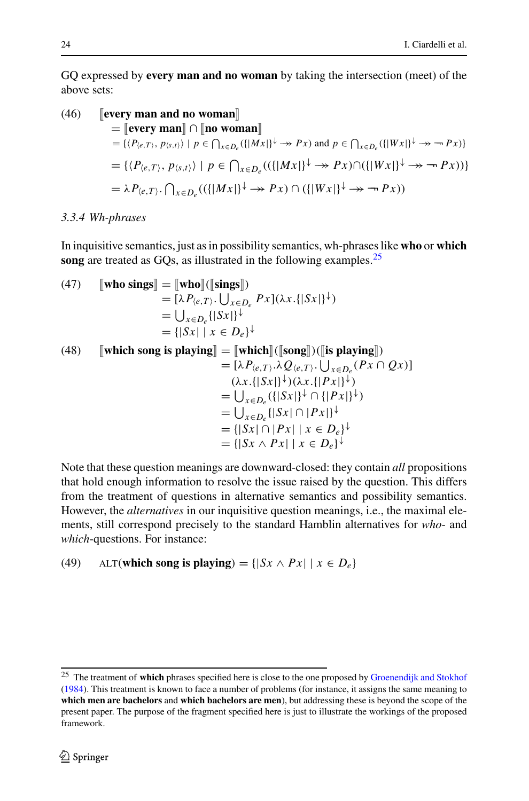GQ expressed by **every man and no woman** by taking the intersection (meet) of the above sets:

(46) **[every man and no woman]**  
\n
$$
= \text{[every man]} \cap \text{[no woman]}
$$
\n
$$
= \{(P_{(e,T)}, p_{(s,t)}) \mid p \in \bigcap_{x \in D_e} (\{|Mx|\}^{\downarrow} \to Px) \text{ and } p \in \bigcap_{x \in D_e} (\{|Wx|\}^{\downarrow} \to \neg Px)\}
$$
\n
$$
= \{\langle P_{(e,T)}, p_{(s,t)} \rangle \mid p \in \bigcap_{x \in D_e} ((\{|Mx|\}^{\downarrow} \to Px) \cap (\{|Wx|\}^{\downarrow} \to \neg Px))\}
$$
\n
$$
= \lambda P_{(e,T)} \cdot \bigcap_{x \in D_e} ((\{|Mx|\}^{\downarrow} \to Px) \cap (\{|Wx|\}^{\downarrow} \to \neg Px))
$$

### *3.3.4 Wh-phrases*

In inquisitive semantics, just as in possibility semantics, wh-phrases like **who** or **which** song are treated as GQs, as illustrated in the following examples.<sup>[25](#page-24-0)</sup>

(47) 
$$
\begin{aligned}\n\llbracket \textbf{who } \textbf{sings} \rrbracket &= \llbracket \textbf{who} \rrbracket (\llbracket \textbf{sings} \rrbracket) \\
&= \llbracket \lambda P_{(e,T)} \cdot \bigcup_{x \in D_e} P x \rrbracket (\lambda x. \{ |Sx| \}^{\downarrow}) \\
&= \bigcup_{x \in D_e} \{ |Sx| \}^{\downarrow} \\
&= \{ |Sx| \mid x \in D_e \}^{\downarrow}\n\end{aligned}
$$
\n(48) 
$$
\llbracket \textbf{which } \textbf{song } \textbf{is } \textbf{playing} \rrbracket = \llbracket \textbf{which} \llbracket (\llbracket \textbf{song} \rrbracket) (\llbracket \textbf{sing} \rrbracket) (\llbracket \textbf{is } \textbf{playing} \rrbracket) \\
&= \llbracket \lambda P_{(e,T)} \cdot \lambda Q_{(e,T)} \cdot \bigcup_{x \in D_e} (P x \cap Q x) \rrbracket \\
&= \bigcup_{x \in D_e} \{ |Sx| \}^{\downarrow} \cap \{ |Px| \}^{\downarrow} \}
$$
\n
$$
= \bigcup_{x \in D_e} \{ |Sx| \cap |Px| \}^{\downarrow} \\
&= \{ |Sx \cap P x| \mid x \in D_e \}^{\downarrow}
$$
\n
$$
= \{ |Sx \wedge Px| \mid x \in D_e \}^{\downarrow}
$$

Note that these question meanings are downward-closed: they contain *all* propositions that hold enough information to resolve the issue raised by the question. This differs from the treatment of questions in alternative semantics and possibility semantics. However, the *alternatives* in our inquisitive question meanings, i.e., the maximal elements, still correspond precisely to the standard Hamblin alternatives for *who*- and *which*-questions. For instance:

(49) altr(**which song is playing**) = { $|Sx \wedge Px|$  |  $x \in D_e$ }

<span id="page-24-0"></span><sup>25</sup> The treatment of **which** phrases specified here is close to the one proposed by [Groenendijk and Stokhof](#page-35-21) [\(1984](#page-35-21)). This treatment is known to face a number of problems (for instance, it assigns the same meaning to **which men are bachelors** and **which bachelors are men**), but addressing these is beyond the scope of the present paper. The purpose of the fragment specified here is just to illustrate the workings of the proposed framework.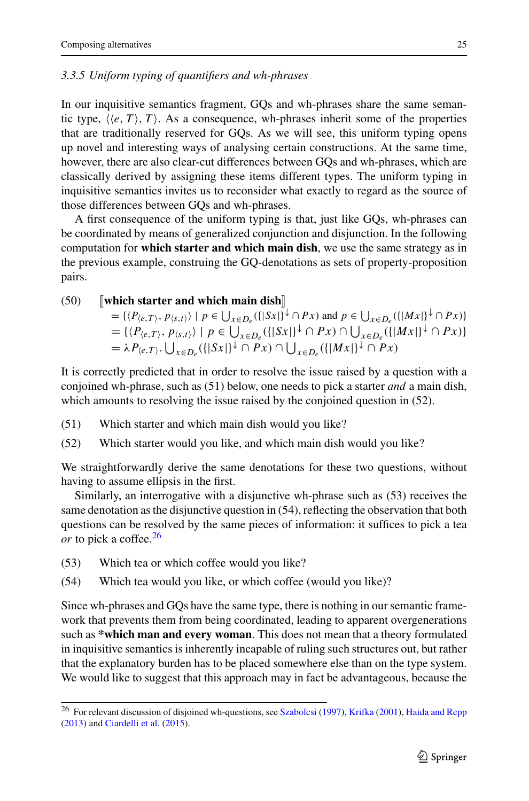### *3.3.5 Uniform typing of quantifiers and wh-phrases*

In our inquisitive semantics fragment, GQs and wh-phrases share the same semantic type,  $\langle \langle e, T \rangle, T \rangle$ . As a consequence, wh-phrases inherit some of the properties that are traditionally reserved for GQs. As we will see, this uniform typing opens up novel and interesting ways of analysing certain constructions. At the same time, however, there are also clear-cut differences between GQs and wh-phrases, which are classically derived by assigning these items different types. The uniform typing in inquisitive semantics invites us to reconsider what exactly to regard as the source of those differences between GQs and wh-phrases.

A first consequence of the uniform typing is that, just like GQs, wh-phrases can be coordinated by means of generalized conjunction and disjunction. In the following computation for **which starter and which main dish**, we use the same strategy as in the previous example, construing the GQ-denotations as sets of property-proposition pairs.

### $(50)$ **which starter and which main dish**  $P(F|P_{\ell}, T)$ ,  $P(s, t)$  |  $p \in \bigcup_{x \in D_e} (\{|Sx|\} \cup \cap Px)$  and  $p \in \bigcup_{x \in D_e} (\{|Mx|\} \cup \cap Px)$  $= \{ \langle P_{\langle e, T \rangle}, p_{\langle s, t \rangle} \rangle \mid p \in \bigcup_{x \in D_e} (\{|Sx|\} \cup \cap Px) \cap \bigcup_{x \in D_e} (\{|Mx|\} \cup \cap Px) \}$  $= \lambda P_{\langle e, T \rangle}$ .  $\bigcup_{x \in D_e} (\{|Sx|\} \cup \cap Px) \cap \bigcup_{x \in D_e} (\{|Mx|\} \cup \cap Px)$

It is correctly predicted that in order to resolve the issue raised by a question with a conjoined wh-phrase, such as (51) below, one needs to pick a starter *and* a main dish, which amounts to resolving the issue raised by the conjoined question in (52).

- (51) Which starter and which main dish would you like?
- (52) Which starter would you like, and which main dish would you like?

We straightforwardly derive the same denotations for these two questions, without having to assume ellipsis in the first.

Similarly, an interrogative with a disjunctive wh-phrase such as (53) receives the same denotation as the disjunctive question in (54), reflecting the observation that both questions can be resolved by the same pieces of information: it suffices to pick a tea *or* to pick a coffee.<sup>26</sup>

- (53) Which tea or which coffee would you like?
- (54) Which tea would you like, or which coffee (would you like)?

Since wh-phrases and GQs have the same type, there is nothing in our semantic framework that prevents them from being coordinated, leading to apparent overgenerations such as **\*which man and every woman**. This does not mean that a theory formulated in inquisitive semantics is inherently incapable of ruling such structures out, but rather that the explanatory burden has to be placed somewhere else than on the type system. We would like to suggest that this approach may in fact be advantageous, because the

<span id="page-25-0"></span><sup>&</sup>lt;sup>26</sup> For relevant discussion of disjoined wh-questions, see [Szabolcsi](#page-36-6) [\(1997\)](#page-36-6), [Krifka](#page-35-25) [\(2001](#page-35-25)), [Haida and Repp](#page-35-26) [\(2013](#page-35-26)) and [Ciardelli et al.](#page-35-8) [\(2015](#page-35-8)).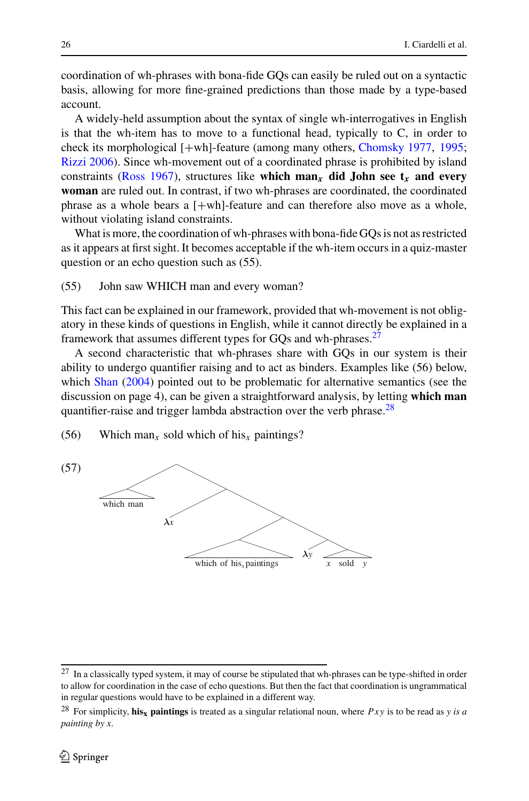coordination of wh-phrases with bona-fide GQs can easily be ruled out on a syntactic basis, allowing for more fine-grained predictions than those made by a type-based account.

A widely-held assumption about the syntax of single wh-interrogatives in English is that the wh-item has to move to a functional head, typically to C, in order to check its morphological [+wh]-feature (among many others, [Chomsky 1977,](#page-34-8) [1995](#page-34-9); [Rizzi 2006](#page-35-27)). Since wh-movement out of a coordinated phrase is prohibited by island constraints [\(Ross 1967](#page-35-28)), structures like which man<sub>*x*</sub> did John see  $t_x$  and every **woman** are ruled out. In contrast, if two wh-phrases are coordinated, the coordinated phrase as a whole bears a [+wh]-feature and can therefore also move as a whole, without violating island constraints.

What is more, the coordination of wh-phrases with bona-fide GQs is not as restricted as it appears at first sight. It becomes acceptable if the wh-item occurs in a quiz-master question or an echo question such as (55).

(55) John saw WHICH man and every woman?

This fact can be explained in our framework, provided that wh-movement is not obligatory in these kinds of questions in English, while it cannot directly be explained in a framework that assumes different types for GQs and wh-phrases.<sup>27</sup>

A second characteristic that wh-phrases share with GQs in our system is their ability to undergo quantifier raising and to act as binders. Examples like (56) below, which [Shan](#page-35-9) [\(2004\)](#page-35-9) pointed out to be problematic for alternative semantics (see the discussion on page 4), can be given a straightforward analysis, by letting **which man** quantifier-raise and trigger lambda abstraction over the verb phrase.<sup>28</sup>

(56) Which man<sub>x</sub> sold which of his<sub>x</sub> paintings?



```
which man
                      λx
                                 which of his<sub>x</sub> paintings
                                                                         λy
                                                                                      x sold y
```
<span id="page-26-0"></span><sup>&</sup>lt;sup>27</sup> In a classically typed system, it may of course be stipulated that wh-phrases can be type-shifted in order to allow for coordination in the case of echo questions. But then the fact that coordination is ungrammatical in regular questions would have to be explained in a different way.

<span id="page-26-1"></span><sup>&</sup>lt;sup>28</sup> For simplicity, **his<sub>x</sub>** paintings is treated as a singular relational noun, where  $Pxy$  is to be read as *y is a painting by x*.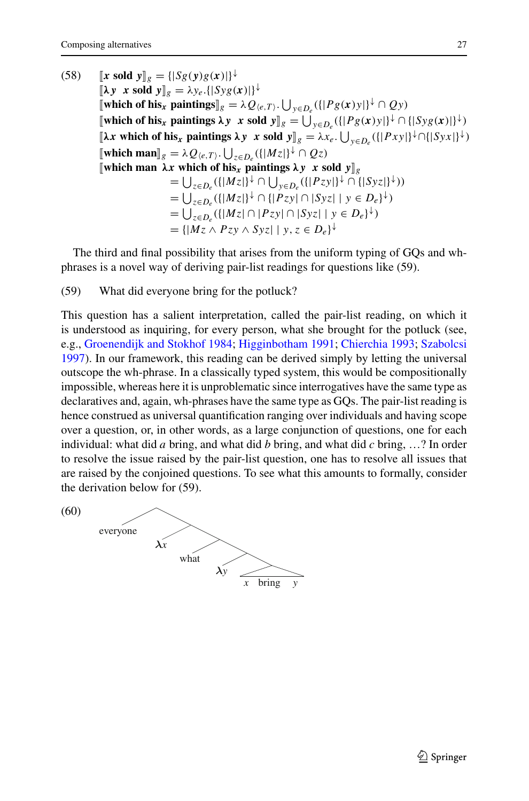$(58)$  $\llbracket x \text{ sold } y \rrbracket_g = \{ |Sg(y)g(x)| \}^{\downarrow}$  $[\lambda y \ x \text{ sold } y]_g = \lambda y_e. \{ |Syg(x)| \}$  $\left[\text{which of his}_x \text{ paintings}\right]_g = \lambda Q_{\langle e, T \rangle}$ .  $\bigcup_{y \in D_e} (\{|P_g(x)y|\} \cup \bigcap Qy)$  $\llbracket \textbf{which of his}_x \textbf{ paintings } \lambda y \textbf{ x sold } y \rrbracket_g = \bigcup_{y \in D_e} (\{|Pg(x)y|\} \cup \{|Syg(x)|\} \cup \}$  $\llbracket \lambda x \text{ which of his}_x \text{ paintings } \lambda y \text{ } x \text{ sold } y \rrbracket_g = \lambda x_e. \bigcup_{y \in D_e} (\{|Pxy|\} \cup \cap \{|Syx|\} \cup \}$  $[\![\text{which man}]\!]_g = \lambda Q_{\langle e, T \rangle}$ .  $\bigcup_{z \in D_e} (\{|Mz|\} \setminus \bigcap Qz)$  $\llbracket$  which man  $\lambda x$  which of his<sub>*x*</sub> paintings  $\lambda y$  *x* sold  $y \rrbracket_g$  $= \bigcup_{z \in D_e} (\{|Mz|\} \cup \bigcup_{y \in D_e} (\{|Pzy|\} \cup \bigcap \{|Syz|\} \cup \big))$  $= \bigcup_{z \in D_e} (\{|Mz|\}$ <sup>↓</sup> ∩  $\{|Pzy| \cap |Syz| | y \in D_e\}$ <sup>↓</sup>)  $= \bigcup_{z \in D_e} (\{|Mz| \cap |Pzy| \cap |Syz| \mid y \in D_e\}^{\downarrow})$  $= \{ |M_z \wedge P_z y \wedge Syz| \mid y, z \in D_e \}^{\downarrow}$ 

The third and final possibility that arises from the uniform typing of GQs and whphrases is a novel way of deriving pair-list readings for questions like (59).

(59) What did everyone bring for the potluck?

This question has a salient interpretation, called the pair-list reading, on which it is understood as inquiring, for every person, what she brought for the potluck (see, e.g., [Groenendijk and Stokhof 1984](#page-35-21); [Higginbotham 1991](#page-35-29); [Chierchia 1993;](#page-34-10) [Szabolcsi](#page-36-6) [1997\)](#page-36-6). In our framework, this reading can be derived simply by letting the universal outscope the wh-phrase. In a classically typed system, this would be compositionally impossible, whereas here it is unproblematic since interrogatives have the same type as declaratives and, again, wh-phrases have the same type as GQs. The pair-list reading is hence construed as universal quantification ranging over individuals and having scope over a question, or, in other words, as a large conjunction of questions, one for each individual: what did *a* bring, and what did *b* bring, and what did *c* bring, …? In order to resolve the issue raised by the pair-list question, one has to resolve all issues that are raised by the conjoined questions. To see what this amounts to formally, consider the derivation below for (59).

(60)

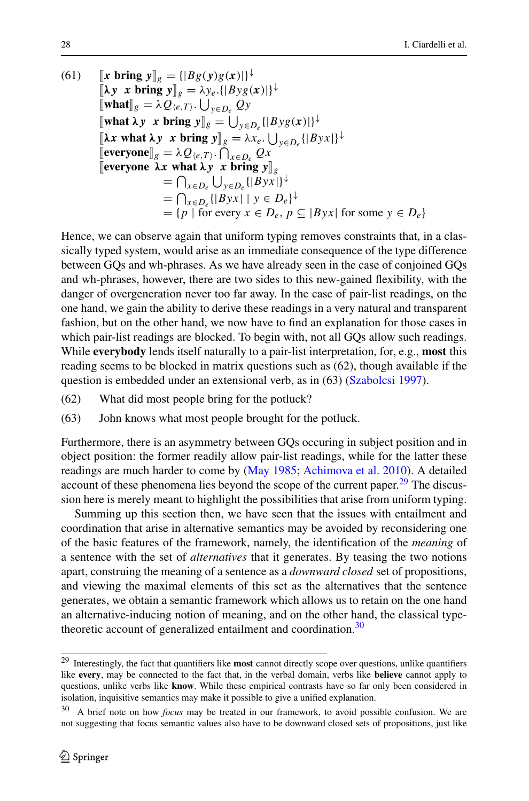$(61)$  $\llbracket x \text{ bring } y \rrbracket_g = \{ |Bg(y)g(x)| \}^{\downarrow}$  $[\lambda y \ x \text{ bring } y]_g = \lambda y_e. \{ |Byg(x)| \}^{\downarrow}$  $\left[\text{what}\right]_g = \lambda Q_{\langle e, T \rangle}$ .  $\bigcup_{y \in D_e} Qy$  $\left[\text{What } \lambda y \times \text{bring } y\right]_g = \bigcup_{y \in D_e} \{ |Byg(x)| \}^{\downarrow}$  $\llbracket \lambda x \text{ what } \lambda y \text{ x bring } y \rrbracket_{g} = \lambda x_{e}. \bigcup_{y \in D_{e}} \{ |Byx| \}^{\downarrow}$  $[\text{everyone}]_g = \lambda Q_{\langle e, T \rangle} \cdot \bigcap_{x \in D_e} Qx$  $\left[ \text{everyone } \lambda x \text{ what } \lambda y \text{ x bring } y \right]_g$  $=\bigcap_{x\in D_e}$   $\bigcup_{y\in D_e}$  {|*Byx*|}<sup>↓</sup>  $=\bigcap_{x\in D_e} \{|Byx| \mid y \in D_e\}$  $= \{p \mid \text{for every } x \in D_e, p \subseteq |Byx| \text{ for some } y \in D_e\}$ 

Hence, we can observe again that uniform typing removes constraints that, in a classically typed system, would arise as an immediate consequence of the type difference between GQs and wh-phrases. As we have already seen in the case of conjoined GQs and wh-phrases, however, there are two sides to this new-gained flexibility, with the danger of overgeneration never too far away. In the case of pair-list readings, on the one hand, we gain the ability to derive these readings in a very natural and transparent fashion, but on the other hand, we now have to find an explanation for those cases in which pair-list readings are blocked. To begin with, not all GQs allow such readings. While **everybody** lends itself naturally to a pair-list interpretation, for, e.g., **most** this reading seems to be blocked in matrix questions such as (62), though available if the question is embedded under an extensional verb, as in (63) [\(Szabolcsi 1997\)](#page-36-6).

- (62) What did most people bring for the potluck?
- (63) John knows what most people brought for the potluck.

Furthermore, there is an asymmetry between GQs occuring in subject position and in object position: the former readily allow pair-list readings, while for the latter these readings are much harder to come by [\(May 1985;](#page-35-30) [Achimova et al. 2010](#page-34-11)). A detailed account of these phenomena lies beyond the scope of the current paper. $29$  The discussion here is merely meant to highlight the possibilities that arise from uniform typing.

Summing up this section then, we have seen that the issues with entailment and coordination that arise in alternative semantics may be avoided by reconsidering one of the basic features of the framework, namely, the identification of the *meaning* of a sentence with the set of *alternatives* that it generates. By teasing the two notions apart, construing the meaning of a sentence as a *downward closed* set of propositions, and viewing the maximal elements of this set as the alternatives that the sentence generates, we obtain a semantic framework which allows us to retain on the one hand an alternative-inducing notion of meaning, and on the other hand, the classical typetheoretic account of generalized entailment and coordination.<sup>30</sup>

<span id="page-28-0"></span><sup>29</sup> Interestingly, the fact that quantifiers like **most** cannot directly scope over questions, unlike quantifiers like **every**, may be connected to the fact that, in the verbal domain, verbs like **believe** cannot apply to questions, unlike verbs like **know**. While these empirical contrasts have so far only been considered in isolation, inquisitive semantics may make it possible to give a unified explanation.

<span id="page-28-1"></span><sup>30</sup> A brief note on how *focus* may be treated in our framework, to avoid possible confusion. We are not suggesting that focus semantic values also have to be downward closed sets of propositions, just like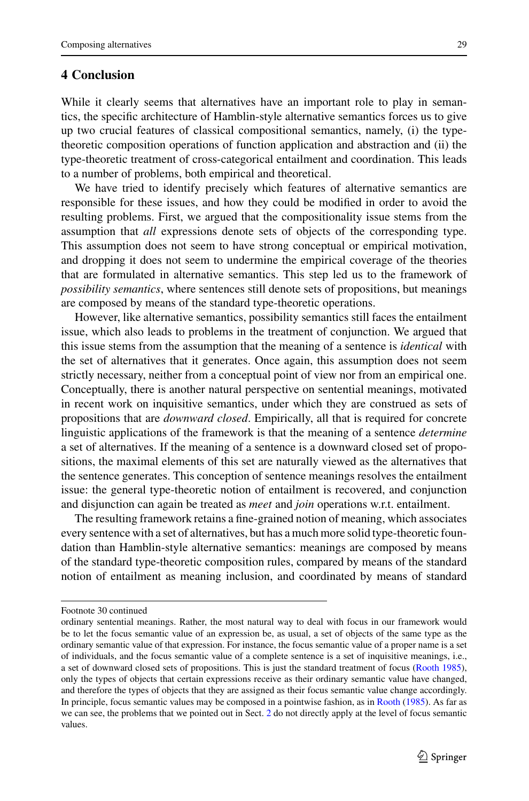### <span id="page-29-0"></span>**4 Conclusion**

While it clearly seems that alternatives have an important role to play in semantics, the specific architecture of Hamblin-style alternative semantics forces us to give up two crucial features of classical compositional semantics, namely, (i) the typetheoretic composition operations of function application and abstraction and (ii) the type-theoretic treatment of cross-categorical entailment and coordination. This leads to a number of problems, both empirical and theoretical.

We have tried to identify precisely which features of alternative semantics are responsible for these issues, and how they could be modified in order to avoid the resulting problems. First, we argued that the compositionality issue stems from the assumption that *all* expressions denote sets of objects of the corresponding type. This assumption does not seem to have strong conceptual or empirical motivation, and dropping it does not seem to undermine the empirical coverage of the theories that are formulated in alternative semantics. This step led us to the framework of *possibility semantics*, where sentences still denote sets of propositions, but meanings are composed by means of the standard type-theoretic operations.

However, like alternative semantics, possibility semantics still faces the entailment issue, which also leads to problems in the treatment of conjunction. We argued that this issue stems from the assumption that the meaning of a sentence is *identical* with the set of alternatives that it generates. Once again, this assumption does not seem strictly necessary, neither from a conceptual point of view nor from an empirical one. Conceptually, there is another natural perspective on sentential meanings, motivated in recent work on inquisitive semantics, under which they are construed as sets of propositions that are *downward closed*. Empirically, all that is required for concrete linguistic applications of the framework is that the meaning of a sentence *determine* a set of alternatives. If the meaning of a sentence is a downward closed set of propositions, the maximal elements of this set are naturally viewed as the alternatives that the sentence generates. This conception of sentence meanings resolves the entailment issue: the general type-theoretic notion of entailment is recovered, and conjunction and disjunction can again be treated as *meet* and *join* operations w.r.t. entailment.

The resulting framework retains a fine-grained notion of meaning, which associates every sentence with a set of alternatives, but has a much more solid type-theoretic foundation than Hamblin-style alternative semantics: meanings are composed by means of the standard type-theoretic composition rules, compared by means of the standard notion of entailment as meaning inclusion, and coordinated by means of standard

Footnote 30 continued

ordinary sentential meanings. Rather, the most natural way to deal with focus in our framework would be to let the focus semantic value of an expression be, as usual, a set of objects of the same type as the ordinary semantic value of that expression. For instance, the focus semantic value of a proper name is a set of individuals, and the focus semantic value of a complete sentence is a set of inquisitive meanings, i.e., a set of downward closed sets of propositions. This is just the standard treatment of focus [\(Rooth 1985](#page-35-3)), only the types of objects that certain expressions receive as their ordinary semantic value have changed, and therefore the types of objects that they are assigned as their focus semantic value change accordingly. In principle, focus semantic values may be composed in a pointwise fashion, as in [Rooth](#page-35-3) [\(1985](#page-35-3)). As far as we can see, the problems that we pointed out in Sect. [2](#page-3-1) do not directly apply at the level of focus semantic values.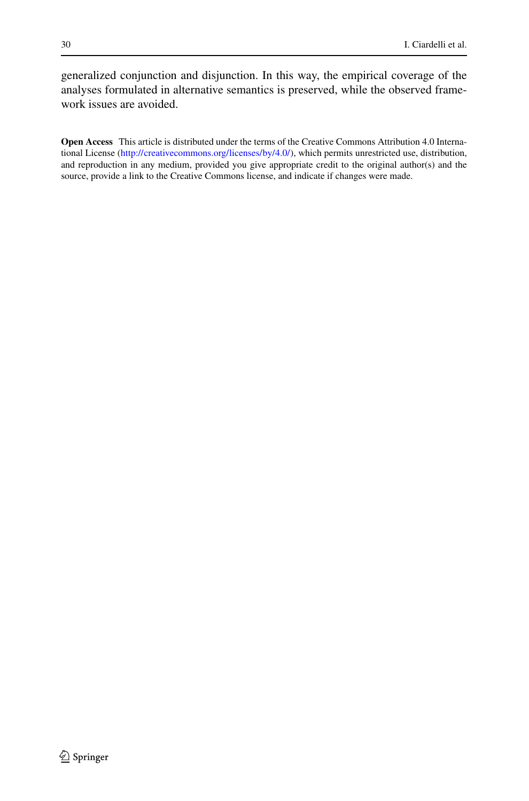generalized conjunction and disjunction. In this way, the empirical coverage of the analyses formulated in alternative semantics is preserved, while the observed framework issues are avoided.

**Open Access** This article is distributed under the terms of the Creative Commons Attribution 4.0 International License [\(http://creativecommons.org/licenses/by/4.0/\)](http://creativecommons.org/licenses/by/4.0/), which permits unrestricted use, distribution, and reproduction in any medium, provided you give appropriate credit to the original author(s) and the source, provide a link to the Creative Commons license, and indicate if changes were made.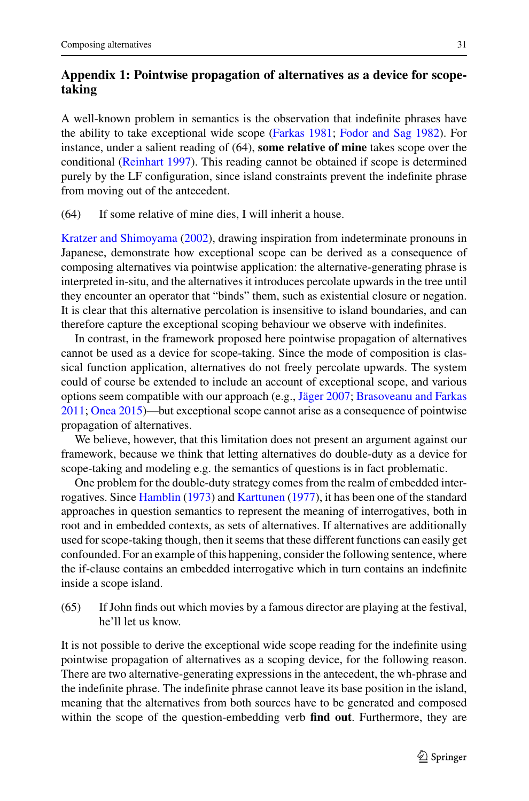### **Appendix 1: Pointwise propagation of alternatives as a device for scopetaking**

A well-known problem in semantics is the observation that indefinite phrases have the ability to take exceptional wide scope [\(Farkas 1981](#page-35-31); [Fodor and Sag 1982](#page-35-32)). For instance, under a salient reading of (64), **some relative of mine** takes scope over the conditional [\(Reinhart 1997\)](#page-35-33). This reading cannot be obtained if scope is determined purely by the LF configuration, since island constraints prevent the indefinite phrase from moving out of the antecedent.

(64) If some relative of mine dies, I will inherit a house.

Kratzer and Shimoyama [\(2002](#page-35-5)), drawing inspiration from indeterminate pronouns in Japanese, demonstrate how exceptional scope can be derived as a consequence of composing alternatives via pointwise application: the alternative-generating phrase is interpreted in-situ, and the alternatives it introduces percolate upwards in the tree until they encounter an operator that "binds" them, such as existential closure or negation. It is clear that this alternative percolation is insensitive to island boundaries, and can therefore capture the exceptional scoping behaviour we observe with indefinites.

In contrast, in the framework proposed here pointwise propagation of alternatives cannot be used as a device for scope-taking. Since the mode of composition is classical function application, alternatives do not freely percolate upwards. The system could of course be extended to include an account of exceptional scope, and various options seem compatible with our approach (e.g., [Jäger 2007](#page-35-17); [Brasoveanu and Farkas](#page-34-4) [2011;](#page-34-4) [Onea 2015\)](#page-35-18)—but exceptional scope cannot arise as a consequence of pointwise propagation of alternatives.

We believe, however, that this limitation does not present an argument against our framework, because we think that letting alternatives do double-duty as a device for scope-taking and modeling e.g. the semantics of questions is in fact problematic.

One problem for the double-duty strategy comes from the realm of embedded interrogatives. Since [Hamblin](#page-35-2) [\(1973](#page-35-2)) and [Karttunen](#page-35-34) [\(1977](#page-35-34)), it has been one of the standard approaches in question semantics to represent the meaning of interrogatives, both in root and in embedded contexts, as sets of alternatives. If alternatives are additionally used for scope-taking though, then it seems that these different functions can easily get confounded. For an example of this happening, consider the following sentence, where the if-clause contains an embedded interrogative which in turn contains an indefinite inside a scope island.

<span id="page-31-0"></span>(65) If John finds out which movies by a famous director are playing at the festival, he'll let us know.

It is not possible to derive the exceptional wide scope reading for the indefinite using pointwise propagation of alternatives as a scoping device, for the following reason. There are two alternative-generating expressions in the antecedent, the wh-phrase and the indefinite phrase. The indefinite phrase cannot leave its base position in the island, meaning that the alternatives from both sources have to be generated and composed within the scope of the question-embedding verb **find out**. Furthermore, they are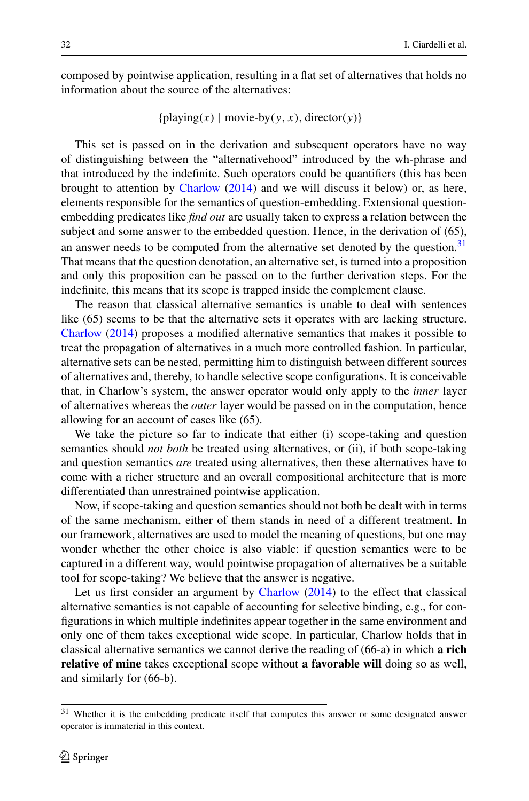composed by pointwise application, resulting in a flat set of alternatives that holds no information about the source of the alternatives:

 ${playing(x) \mid movie-by(y, x), director(y)}$ 

This set is passed on in the derivation and subsequent operators have no way of distinguishing between the "alternativehood" introduced by the wh-phrase and that introduced by the indefinite. Such operators could be quantifiers (this has been brought to attention by [Charlow](#page-34-3) [\(2014](#page-34-3)) and we will discuss it below) or, as here, elements responsible for the semantics of question-embedding. Extensional questionembedding predicates like *find out* are usually taken to express a relation between the subject and some answer to the embedded question. Hence, in the derivation of (65), an answer needs to be computed from the alternative set denoted by the question.<sup>31</sup> That means that the question denotation, an alternative set, is turned into a proposition and only this proposition can be passed on to the further derivation steps. For the indefinite, this means that its scope is trapped inside the complement clause.

The reason that classical alternative semantics is unable to deal with sentences like (65) seems to be that the alternative sets it operates with are lacking structure. [Charlow](#page-34-3) [\(2014](#page-34-3)) proposes a modified alternative semantics that makes it possible to treat the propagation of alternatives in a much more controlled fashion. In particular, alternative sets can be nested, permitting him to distinguish between different sources of alternatives and, thereby, to handle selective scope configurations. It is conceivable that, in Charlow's system, the answer operator would only apply to the *inner* layer of alternatives whereas the *outer* layer would be passed on in the computation, hence allowing for an account of cases like (65).

We take the picture so far to indicate that either (i) scope-taking and question semantics should *not both* be treated using alternatives, or (ii), if both scope-taking and question semantics *are* treated using alternatives, then these alternatives have to come with a richer structure and an overall compositional architecture that is more differentiated than unrestrained pointwise application.

Now, if scope-taking and question semantics should not both be dealt with in terms of the same mechanism, either of them stands in need of a different treatment. In our framework, alternatives are used to model the meaning of questions, but one may wonder whether the other choice is also viable: if question semantics were to be captured in a different way, would pointwise propagation of alternatives be a suitable tool for scope-taking? We believe that the answer is negative.

Let us first consider an argument by [Charlow](#page-34-3) [\(2014\)](#page-34-3) to the effect that classical alternative semantics is not capable of accounting for selective binding, e.g., for configurations in which multiple indefinites appear together in the same environment and only one of them takes exceptional wide scope. In particular, Charlow holds that in classical alternative semantics we cannot derive the reading of (66-a) in which **a rich relative of mine** takes exceptional scope without **a favorable will** doing so as well, and similarly for (66-b).

<span id="page-32-0"></span><sup>31</sup> Whether it is the embedding predicate itself that computes this answer or some designated answer operator is immaterial in this context.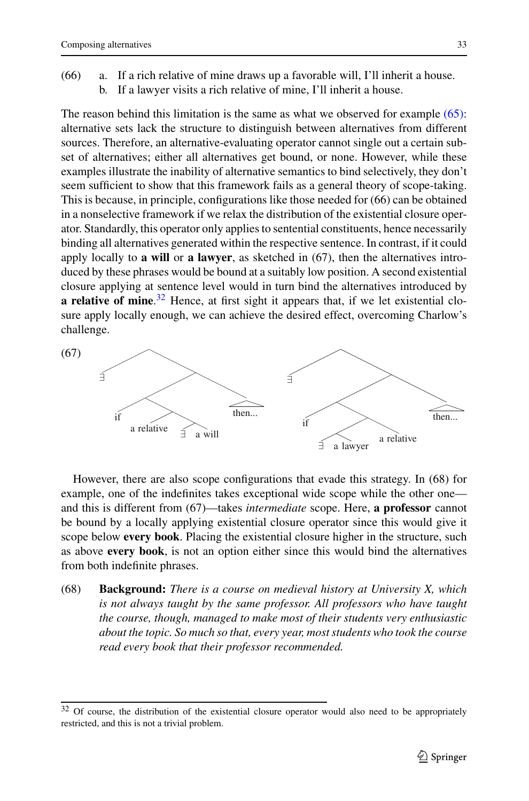(66) a. If a rich relative of mine draws up a favorable will, I'll inherit a house. b. If a lawyer visits a rich relative of mine, I'll inherit a house.

The reason behind this limitation is the same as what we observed for example [\(65\):](#page-31-0) alternative sets lack the structure to distinguish between alternatives from different sources. Therefore, an alternative-evaluating operator cannot single out a certain subset of alternatives; either all alternatives get bound, or none. However, while these examples illustrate the inability of alternative semantics to bind selectively, they don't seem sufficient to show that this framework fails as a general theory of scope-taking. This is because, in principle, configurations like those needed for (66) can be obtained in a nonselective framework if we relax the distribution of the existential closure operator. Standardly, this operator only applies to sentential constituents, hence necessarily binding all alternatives generated within the respective sentence. In contrast, if it could apply locally to **a will** or **a lawyer**, as sketched in (67), then the alternatives introduced by these phrases would be bound at a suitably low position. A second existential closure applying at sentence level would in turn bind the alternatives introduced by **a relative of mine**. [32](#page-33-0) Hence, at first sight it appears that, if we let existential closure apply locally enough, we can achieve the desired effect, overcoming Charlow's challenge.

(67) ∃ if a relative  $\widehat{\mathcal{A}}$  a will then ∃ if ∃ a lawyer a relative then...

However, there are also scope configurations that evade this strategy. In (68) for example, one of the indefinites takes exceptional wide scope while the other one and this is different from (67)—takes *intermediate* scope. Here, **a professor** cannot be bound by a locally applying existential closure operator since this would give it scope below **every book**. Placing the existential closure higher in the structure, such as above **every book**, is not an option either since this would bind the alternatives from both indefinite phrases.

(68) **Background:** *There is a course on medieval history at University X, which is not always taught by the same professor. All professors who have taught the course, though, managed to make most of their students very enthusiastic about the topic. So much so that, every year, most students who took the course read every book that their professor recommended.*

<span id="page-33-0"></span><sup>&</sup>lt;sup>32</sup> Of course, the distribution of the existential closure operator would also need to be appropriately restricted, and this is not a trivial problem.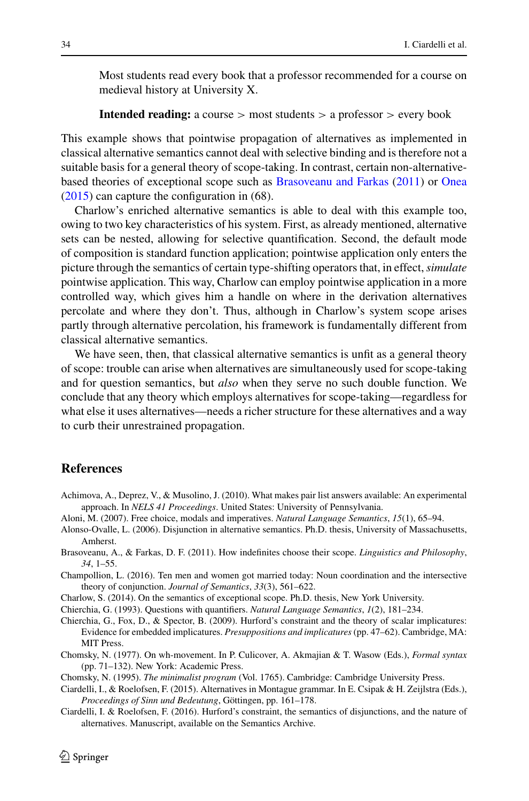Most students read every book that a professor recommended for a course on medieval history at University X.

### **Intended reading:** a course > most students > a professor > every book

This example shows that pointwise propagation of alternatives as implemented in classical alternative semantics cannot deal with selective binding and is therefore not a suitable basis for a general theory of scope-taking. In contrast, certain non-alternativebased theories of exceptional scope such as [Brasoveanu and Farkas](#page-34-4) [\(2011](#page-34-4)) or [Onea](#page-35-18) [\(2015\)](#page-35-18) can capture the configuration in (68).

Charlow's enriched alternative semantics is able to deal with this example too, owing to two key characteristics of his system. First, as already mentioned, alternative sets can be nested, allowing for selective quantification. Second, the default mode of composition is standard function application; pointwise application only enters the picture through the semantics of certain type-shifting operators that, in effect,*simulate* pointwise application. This way, Charlow can employ pointwise application in a more controlled way, which gives him a handle on where in the derivation alternatives percolate and where they don't. Thus, although in Charlow's system scope arises partly through alternative percolation, his framework is fundamentally different from classical alternative semantics.

We have seen, then, that classical alternative semantics is unfit as a general theory of scope: trouble can arise when alternatives are simultaneously used for scope-taking and for question semantics, but *also* when they serve no such double function. We conclude that any theory which employs alternatives for scope-taking—regardless for what else it uses alternatives—needs a richer structure for these alternatives and a way to curb their unrestrained propagation.

### **References**

- <span id="page-34-11"></span>Achimova, A., Deprez, V., & Musolino, J. (2010). What makes pair list answers available: An experimental approach. In *NELS 41 Proceedings*. United States: University of Pennsylvania.
- <span id="page-34-1"></span>Aloni, M. (2007). Free choice, modals and imperatives. *Natural Language Semantics*, *15*(1), 65–94.
- <span id="page-34-2"></span>Alonso-Ovalle, L. (2006). Disjunction in alternative semantics. Ph.D. thesis, University of Massachusetts, Amherst.
- <span id="page-34-4"></span>Brasoveanu, A., & Farkas, D. F. (2011). How indefinites choose their scope. *Linguistics and Philosophy*, *34*, 1–55.
- <span id="page-34-5"></span>Champollion, L. (2016). Ten men and women got married today: Noun coordination and the intersective theory of conjunction. *Journal of Semantics*, *33*(3), 561–622.
- <span id="page-34-3"></span>Charlow, S. (2014). On the semantics of exceptional scope. Ph.D. thesis, New York University.
- <span id="page-34-10"></span>Chierchia, G. (1993). Questions with quantifiers. *Natural Language Semantics*, *1*(2), 181–234.
- <span id="page-34-6"></span>Chierchia, G., Fox, D., & Spector, B. (2009). Hurford's constraint and the theory of scalar implicatures: Evidence for embedded implicatures. *Presuppositions and implicatures* (pp. 47–62). Cambridge, MA: MIT Press.
- <span id="page-34-8"></span>Chomsky, N. (1977). On wh-movement. In P. Culicover, A. Akmajian & T. Wasow (Eds.), *Formal syntax* (pp. 71–132). New York: Academic Press.

Chomsky, N. (1995). *The minimalist program* (Vol. 1765). Cambridge: Cambridge University Press.

- <span id="page-34-9"></span><span id="page-34-0"></span>Ciardelli, I., & Roelofsen, F. (2015). Alternatives in Montague grammar. In E. Csipak & H. Zeijlstra (Eds.), *Proceedings of Sinn und Bedeutung*, Göttingen, pp. 161–178.
- <span id="page-34-7"></span>Ciardelli, I. & Roelofsen, F. (2016). Hurford's constraint, the semantics of disjunctions, and the nature of alternatives. Manuscript, available on the Semantics Archive.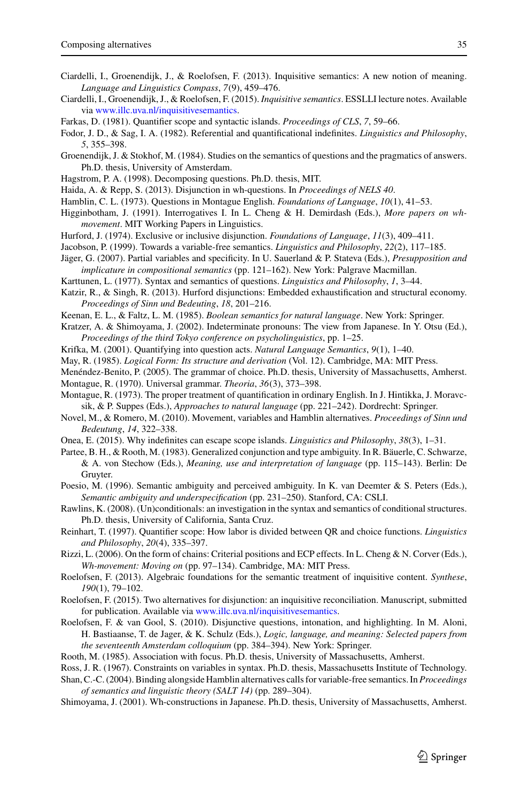- <span id="page-35-7"></span>Ciardelli, I., Groenendijk, J., & Roelofsen, F. (2013). Inquisitive semantics: A new notion of meaning. *Language and Linguistics Compass*, *7*(9), 459–476.
- <span id="page-35-8"></span>Ciardelli, I., Groenendijk, J., & Roelofsen, F. (2015). *Inquisitive semantics*. ESSLLI lecture notes. Available via [www.illc.uva.nl/inquisitivesemantics.](www.illc.uva.nl/inquisitivesemantics)
- <span id="page-35-31"></span>Farkas, D. (1981). Quantifier scope and syntactic islands. *Proceedings of CLS*, *7*, 59–66.
- <span id="page-35-32"></span>Fodor, J. D., & Sag, I. A. (1982). Referential and quantificational indefinites. *Linguistics and Philosophy*, *5*, 355–398.
- <span id="page-35-21"></span>Groenendijk, J. & Stokhof, M. (1984). Studies on the semantics of questions and the pragmatics of answers. Ph.D. thesis, University of Amsterdam.
- <span id="page-35-13"></span>Hagstrom, P. A. (1998). Decomposing questions. Ph.D. thesis, MIT.
- <span id="page-35-26"></span>Haida, A. & Repp, S. (2013). Disjunction in wh-questions. In *Proceedings of NELS 40*.
- <span id="page-35-2"></span>Hamblin, C. L. (1973). Questions in Montague English. *Foundations of Language*, *10*(1), 41–53.
- <span id="page-35-29"></span>Higginbotham, J. (1991). Interrogatives I. In L. Cheng & H. Demirdash (Eds.), *More papers on whmovement*. MIT Working Papers in Linguistics.
- <span id="page-35-24"></span>Hurford, J. (1974). Exclusive or inclusive disjunction. *Foundations of Language*, *11*(3), 409–411.
- <span id="page-35-14"></span>Jacobson, P. (1999). Towards a variable-free semantics. *Linguistics and Philosophy*, *22*(2), 117–185.
- <span id="page-35-17"></span>Jäger, G. (2007). Partial variables and specificity. In U. Sauerland & P. Stateva (Eds.), *Presupposition and implicature in compositional semantics* (pp. 121–162). New York: Palgrave Macmillan.
- <span id="page-35-34"></span>Karttunen, L. (1977). Syntax and semantics of questions. *Linguistics and Philosophy*, *1*, 3–44.
- <span id="page-35-22"></span>Katzir, R., & Singh, R. (2013). Hurford disjunctions: Embedded exhaustification and structural economy. *Proceedings of Sinn und Bedeuting*, *18*, 201–216.
- <span id="page-35-19"></span>Keenan, E. L., & Faltz, L. M. (1985). *Boolean semantics for natural language*. New York: Springer.
- <span id="page-35-5"></span>Kratzer, A. & Shimoyama, J. (2002). Indeterminate pronouns: The view from Japanese. In Y. Otsu (Ed.), *Proceedings of the third Tokyo conference on psycholinguistics*, pp. 1–25.
- <span id="page-35-25"></span>Krifka, M. (2001). Quantifying into question acts. *Natural Language Semantics*, *9*(1), 1–40.
- <span id="page-35-30"></span>May, R. (1985). *Logical Form: Its structure and derivation* (Vol. 12). Cambridge, MA: MIT Press.
- <span id="page-35-6"></span>Menéndez-Benito, P. (2005). The grammar of choice. Ph.D. thesis, University of Massachusetts, Amherst.
- <span id="page-35-0"></span>Montague, R. (1970). Universal grammar. *Theoria*, *36*(3), 373–398.
- <span id="page-35-1"></span>Montague, R. (1973). The proper treatment of quantification in ordinary English. In J. Hintikka, J. Moravcsik, & P. Suppes (Eds.), *Approaches to natural language* (pp. 221–242). Dordrecht: Springer.
- <span id="page-35-10"></span>Novel, M., & Romero, M. (2010). Movement, variables and Hamblin alternatives. *Proceedings of Sinn und Bedeutung*, *14*, 322–338.
- <span id="page-35-18"></span>Onea, E. (2015). Why indefinites can escape scope islands. *Linguistics and Philosophy*, *38*(3), 1–31.
- <span id="page-35-16"></span>Partee, B. H., & Rooth, M. (1983). Generalized conjunction and type ambiguity. In R. Bäuerle, C. Schwarze, & A. von Stechow (Eds.), *Meaning, use and interpretation of language* (pp. 115–143). Berlin: De Gruyter.
- <span id="page-35-15"></span>Poesio, M. (1996). Semantic ambiguity and perceived ambiguity. In K. van Deemter & S. Peters (Eds.), *Semantic ambiguity and underspecification* (pp. 231–250). Stanford, CA: CSLI.
- <span id="page-35-11"></span>Rawlins, K. (2008). (Un)conditionals: an investigation in the syntax and semantics of conditional structures. Ph.D. thesis, University of California, Santa Cruz.
- <span id="page-35-33"></span>Reinhart, T. (1997). Quantifier scope: How labor is divided between QR and choice functions. *Linguistics and Philosophy*, *20*(4), 335–397.
- <span id="page-35-27"></span>Rizzi, L. (2006). On the form of chains: Criterial positions and ECP effects. In L. Cheng & N. Corver (Eds.), *Wh-movement: Moving on* (pp. 97–134). Cambridge, MA: MIT Press.
- <span id="page-35-20"></span>Roelofsen, F. (2013). Algebraic foundations for the semantic treatment of inquisitive content. *Synthese*, *190*(1), 79–102.
- <span id="page-35-23"></span>Roelofsen, F. (2015). Two alternatives for disjunction: an inquisitive reconciliation. Manuscript, submitted for publication. Available via [www.illc.uva.nl/inquisitivesemantics.](www.illc.uva.nl/inquisitivesemantics)
- <span id="page-35-12"></span>Roelofsen, F. & van Gool, S. (2010). Disjunctive questions, intonation, and highlighting. In M. Aloni, H. Bastiaanse, T. de Jager, & K. Schulz (Eds.), *Logic, language, and meaning: Selected papers from the seventeenth Amsterdam colloquium* (pp. 384–394). New York: Springer.
- <span id="page-35-3"></span>Rooth, M. (1985). Association with focus. Ph.D. thesis, University of Massachusetts, Amherst.
- <span id="page-35-28"></span>Ross, J. R. (1967). Constraints on variables in syntax. Ph.D. thesis, Massachusetts Institute of Technology.
- <span id="page-35-9"></span>Shan, C.-C. (2004). Binding alongside Hamblin alternatives calls for variable-free semantics. In*Proceedings of semantics and linguistic theory (SALT 14)* (pp. 289–304).
- <span id="page-35-4"></span>Shimoyama, J. (2001). Wh-constructions in Japanese. Ph.D. thesis, University of Massachusetts, Amherst.